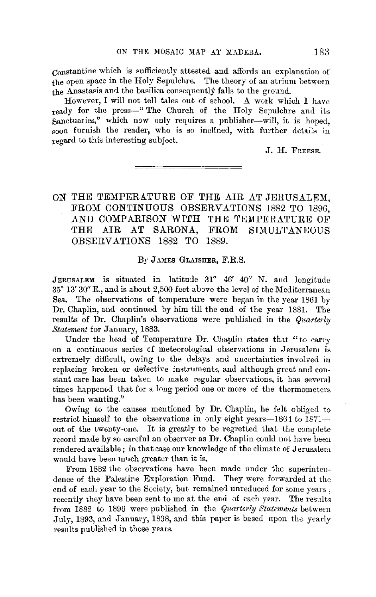Constantine which is sufficiently attested and affords an explanation of the open space in the Holy Sepulchre. The theory of an atrium between the Anastasis and the basilica consequently falls to the ground.

However, I will not tell tales out of school. A work which I have ready for the press-" The Church of the Holy Sepulchre and its Sanctuaries," which now only requires a publisher-will, it is hoped, soon furnish the reader, who is so inclined, with further details in regard to this interesting subject.

J. H. FnEESE.

## ON THE TEMPERATURE OF THE AIR AT JERUSALEM. FROM CONTINUOUS OBSERVATIONS 1882 TO 1896. AND COMPARISON WITH THE TEMPERATURE OF THE AIR AT SARONA, FROM SIMULTANEOUS OBSERVATIONS 1882 TO 1889.

#### By JAMES GLAJSHER, F.R.S.

JERUSALEM is situated in latitude 31° 46' 40" N. and longitude 35° 13' 30" E., and is about 2,500 feet above the level of the Mediterranean Sea. The observations of temperature were began in the year 1861 by Dr. Chaplin, and continued by him till the end of the year 1881. The results of Dr. Chaplin's observations were published in the *Quarterly Statement* for January, 1883.

Under the head of Temperature Dr. Chaplin states that "to carry on a continuous series cf meteorological observations in Jerusalem is extremely difficult, owing to the delays and uncertainties involved in replacing broken or defective instruments, and although great and constant care has been taken to make regular observations, it has several times happened that for a long period one or more of the thermometers has been wanting."

Owing to the causes mentioned by Dr. Chaplin, he felt obliged to restrict himself to the observations in only eight years—1864 to  $1871$ out of the twenty-one. It is greatly to be regretted that the complete record made by so careful an observer as Dr. Chaplin could not have been rendered available; in that case our knowledge of the climate of Jerusalem would have been much greater than it is.

From 1882 the observations have been made under the superintendence of the Palestine Exploration Fund. They were forwarded at the end of each year to the Society, but remained unreduced for some years ; recently they have been sent to me at the end of each year. The results from 1882 to 1896 were published in the *Quarterly Staternents* between July, 1893, and January, 1838, and this paper is based upon the yearly results published in those years.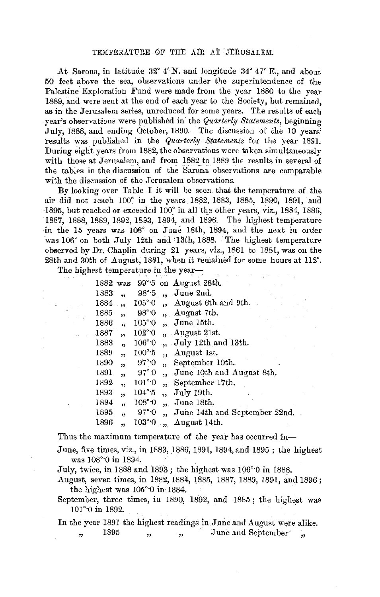At Sarona, in latitude 32° 4' N. and longitude 34° 47' E., and about 50 feet above the sea, observations under the superintendence of the Palestine Exploration Fund were made from the year 1880 to the year 1889, and were sent at the end of each year to the Society, but remained, as in the Jerusalem series, unreduced for some years. The results of each year's observations were published in· the *Quarterly Statements,* beginning July, 1888, and ending October, 1890. The discussion of the 10 years' results was published in the *Quarterly Statements* for the year 1891. During eight years from 1882, the observations were taken simultaneously with those at Jerusalem, and from 1882 to 1889 the results in several of the tables in the discussion of the Sarona observations are comparable with the discussion of the Jerusalem observations.

By looking over Table I it will be seen that the temperature of the air did not reach 100° in the years 1882, 1883, 1885, 1890, 1891, and ·1895, but reached or exceeded 100° in all the other years, viz., 1884, 1886, 1887, 1888, 1889, 1892, 1893, 1894, and 1896. The highest temperature in the 15 years was 108° on June 18th, 1894, and the next in order was 106° on both July 12th and 13th, 1888. The highest temperature observed by Dr. Chaplin during 21 years, viz., 1861 to 1881, was on the 28th and 30th of August, 1881, when it remained for some hours at 112°.

The highest temperature in the year-

| 1882 | was                     |                              |                         | 99° <sup>-5</sup> on August 28th. |
|------|-------------------------|------------------------------|-------------------------|-----------------------------------|
| 1883 | ,,                      | $98^\circ \cdot 5$           |                         | June 2nd.                         |
| 1884 | ٠,                      | 105°0                        |                         | August 6th and 9th.               |
| 1885 | ,,                      | $98^\circ 0$                 |                         | August 7th.                       |
| 1886 | ,,                      | $105^{\circ}$ <sup>0</sup>   |                         | June 15th.                        |
| 1887 | $\overline{\mathbf{z}}$ | $102^{\circ}$ <sup>.</sup> 0 | 99                      | August 21st.                      |
| 1888 | j3                      | $106^{\circ}$ <sup>.</sup> 0 |                         | " July 12th and 13th.             |
| 1889 | $\overline{\mathbf{z}}$ | 100°5                        | $\overline{\mathbf{1}}$ | August 1st.                       |
| 1890 | 33                      | $97^\circ \cdot 0$           | ٠,                      | September 10th.                   |
| 1891 | $\overline{\mathbf{a}}$ | $97^\circ \cdot 0$           | ,,                      | June 10th and August 8th.         |
| 1892 | ,                       | $101^\circ 0$                | ,,                      | September 17th.                   |
| 1893 | ž,                      | $104^\circ$ -5               | ٠,                      | July 19th.                        |
| 1894 | 55                      | 108°0                        | is.                     | June 18th.                        |
| 1895 | ,,                      | $97^\circ \cdot 0$           | ٠,                      | June 14th and September 22nd.     |
| 1896 | ,                       | $103^{\circ}0$               | ries.                   | August 14th.                      |
|      |                         |                              |                         |                                   |

Thus the maximum temperature of the year has occurred in-

*June, five times, viz., in 1883, 1886, 1891, 1894, and 1895; the highest* was  $108^{\circ}$  0 in 1894.

July, twice, in l 888 and 1893; the highest was 106°·0 in 1888.

August, seven times, in 1882, 1884, 1885, 1887, 1889, 1891, and 1896; the highest was 105°·0 in 1884.

September, three times, in 1890, 1892, and 1885 ; the highest was 101°<sup>o</sup> in 1892.

In the year 1891 the highest readings in June and August were alike. , 1895 , , , June and September ,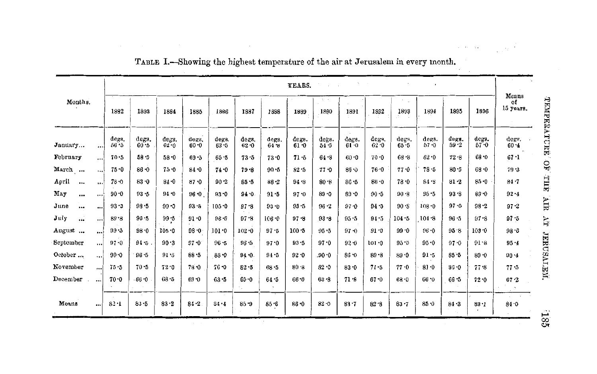|                   |          |                   |               |                   |                   |               |               |               | YEARS.        |               |                   |               |                   |                   |               |                   |                          |
|-------------------|----------|-------------------|---------------|-------------------|-------------------|---------------|---------------|---------------|---------------|---------------|-------------------|---------------|-------------------|-------------------|---------------|-------------------|--------------------------|
| Months.           |          | 1892              | 1883          | 1884              | 1885              | 1886          | 1887          | 1888          | 1889          | 1890          | 1891              | 1892          | 1893              | 1894              | 1895          | 1896              | Means<br>of<br>15 years. |
| January           |          | degs.<br>$56 - 5$ | degs.<br>60.5 | degs.<br>$62 - 0$ | degs.<br>$60 - 0$ | degs.<br>63.5 | degs.<br>62.0 | degs.<br>64.8 | degs.<br>61.0 | degs.<br>54.5 | degs.<br>$61 - 0$ | degs.<br>62.0 | ders.<br>$65 - 5$ | degs.<br>$57 - 0$ | degs.<br>59.2 | degs.<br>$57 - 0$ | degs.<br>$60 - 1$        |
| February          |          | 70.5              | $58 - 5$      | 58.0              | $69 - 5$          | $65 - 5$      | 73.5          | 73.0          | 71.5          | 64 8          | $60 - 0$          | 70.0          | 68.8              | $62 - 0$          | $72 - 8$      | 68.0              | $67 - 1$                 |
| March             |          | 75.0              | 86.0          | 75.0              | 84.0              | 74.0          | $79 - 8$      | $90 - 5$      | 82.5          | 77.0          | $85 - 3$          | $76 - 0$      | 77.0              | 78.5              | $80 - 5$      | 68.0              | $79 - 3$                 |
| April<br>$\cdots$ | $\cdots$ | $78 - 0$          | 83.0          | $84 - 0$          | 87.0              | $90 - 2$      | $85 - 5$      | $86 - 2$      | 94 .8         | 80.8          | $86 - 5$          | 86.0          | 78.0              | 84.9              | 81.2          | $85 - 0$          | $84 - 7$                 |
| May<br>           | $\cdots$ | $90 - 0$          | $93 - 5$      | 94.0              | 96.0              | $93 - 0$      | 94.0          | 91.5          | 97.0          | 89.0          | $89 - 0$          | $90 - 5$      | 90.8              | $95 - 5$          | $93 - 8$      | $89 - 0$          | $92 - 4$                 |
| June<br>$\cdots$  |          | $93 - 3$          | $98 - 5$      | $99 - 0$          | $93 - 5$          | 105.0         | $07 - 8$      | 93.0          | $95 - 5$      | 96.2          | 97.0              | 94.5          | 90.8              | $108 - 0$         | $97 - 0$      | $98 - 2$          | 97.2                     |
| July<br>$\cdots$  | $\cdots$ | 89.8              | 96.5          | $99 - 5$          | $91 - 0$          | $96 - 0$      | $97 - 8$      | 106.0         | $97 - 8$      | 93.8          | $95 - 5$          | 94.5          | $104 - 5$         | $104 - 8$         | $96 - 5$      | $97 - 8$          | $97 - 5$                 |
| August            | $\cdots$ | $99 - 5$          | 98.0          | $105 - 0$         | $98 - 0$          | $101 - 0$     | $102 - 0$     | 97.5          | 100.5         | $95 - 5$      | $97 - 0$          | $91 - 0$      | 99.0              | $96 - 0$          | 95.8          | 103.0             | $98 - 5$                 |
| September         |          | $97 - 0$          | $94 - 5$      | 90.3              | $97 - 0$          | $96 - 5$      | 96.5          | 97.0          | $93 - 5$      | $97 - 0$      | $92 - 0$          | $101 - 0$     | 95.5              | $95 - 0$          | 97.0          | 91.8              | $95 - 4$                 |
| October           | u di     | $90 - 0$          | $96 - 5$      | 91.5              | $88 - 5$          | $88 - 0$      | 94.0.         | $94 - 5$      | 92.0          | .90.0         | 86.0              | $89 - 8$      | 89.0              | 91.5              | $85 - 5$      | 89.0              | 90.4                     |
| November          | اءء      | 75.5              | 70.5          | 72.0              | $78 - 0$          | $76 - 0$      | $82 - 5$      | 68.5          | $80 - 8$      | $82 - 0$      | $83 - 0$          | $71 - 5$      | 77.0              | 81.0              | $85 - 0$      | 77.8              | 77.5                     |
| December          |          | 70.0              | $-66.0$       | $68 - 5$          | 69.0              | $63 - 5$      | $65 - 0$      | 64.5          | $66 - 0$      | $63 - 8$      | 71.8              | $67 - 0$      | $68 - 0$          | 66.0              | 66 .5         | 72.0              | 67.2                     |
| Means             |          | 82.1              | $83 - 5$      | $83 - 2$          | $84 - 2$          | 84.4          | $85 - 9$      | $85 - 6$      | $86 - 0$      | $82 - 0$      | 83.7              | 82.8          | $83 - 7$          | 85.0              | $84 - 3$      | 83.1              | 84.0                     |

TABLE I.-Showing the highest temperature of the air at Jerusalem in every month.

 $^{185}\,$ 

 $\beta$  , where  $\beta=\frac{1}{2\pi\sqrt{2}}\sqrt{2}$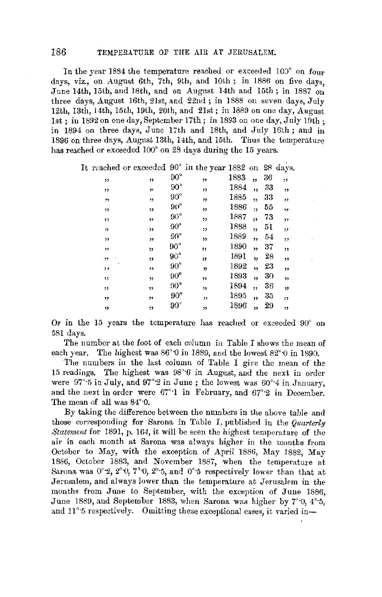## 186 TEMPERATURE OF THE AIR AT JERUSALEM.

In the year 1884 the temperature reached or exceeded 100° on four days, viz., on August 6th, 7th, 9th, and 10th; in 1886 on five days, June 14th, 15th, and 18th, and on August 14th and 15th; in 1887 on three days, August 16th, 21st, and 22nd ; in 1888 on seven days, July 12th, 13th, 14th, 15th, 19th, 20th, and 21st; in 1889 on one day, August 1st; in 1892 on one day, September 17th; in 1893 on one day, July 19th; in 1894 on three days, June 17th and 18th, and July 16th; and in 1896 on three days, August 13th, 14th, and 15th. Thus the temperature has reached or exceeded 100° on 28 days during the 15 years.

It reached or exceeded 90° in the year 1882 on 28 days.

| "       | "  | $90^{\circ}$ | ٠,, | 1883 | "            | 36 | :, |
|---------|----|--------------|-----|------|--------------|----|----|
| ,,      | ,, | $90^{\circ}$ | "   | 1884 | ,,           | 33 | ,, |
| "       | ,, | $90^{\circ}$ | "   | 1885 | ,,           | 33 | ,, |
| ,,      | ,, | $90^{\circ}$ | ,,  | 1886 | $\mathbf{H}$ | 55 | ,, |
| ,,      | ,, | $90^{\circ}$ | ,,  | 1887 | "            | 73 | ,, |
| "       | "  | $90^{\circ}$ | ,,  | 1888 | ,,           | 51 | ,, |
| "       | ,, | $90^{\circ}$ | ,,  | 1889 | ,,           | 54 | ,, |
| ,,      | "  | $90^{\circ}$ | ,,  | 1890 | ,,           | 37 | "  |
| .99     | ,, | $90^{\circ}$ | "   | 1891 | ,,           | 28 | ,, |
| ä<br>,, | 39 | $90^{\circ}$ | "   | 1892 | ,,           | 23 | ,, |
| ,,      | ,, | $90^{\circ}$ | ,,  | 1893 | ,,           | 30 | ,, |
| ,,      | ,, | $90^{\circ}$ | ,,  | 1894 | ,,           | 36 | ,, |
| "       | ,, | $90^{\circ}$ | .33 | 1895 | "            | 35 | "  |
| "       | "  | $90^\circ$   | ,,  | 1896 | "            | 29 | 1) |
|         |    |              |     |      |              |    |    |

Or in the 15 years the temperature has reached or exceeded 90° on 581 days.

The number at the foot of each column in Table I shows the mean of each year. The highest was  $86^{\circ}$  0 in 1889, and the lowest  $82^{\circ}$  0 in 1890.

The numbers iu the last column of Table I give the mean of the 15 readings. The highest was 98°·6 in August, and the next in order were 97°·5 in July, and 97°·2 in June; the lowest was 60°·4 in January, and the next in order were 67°·1 in February, and 67°·2 in December. The mean of all was 84°·0.

By taking the difference between the numbers in the above table and those corresponding for Sarona in Table I, published in the *Quarterly Statement* for 1891, p. 164, it will be seen the highest temperature of the air in each month at Sarona was always higher in the months from October to May, with the exception of April 1886, May 1882, May 1886, October 1883, and November 1887, when the temperature at Sarona was  $0^{\circ}2$ ,  $2^{\circ}0$ ,  $7^{\circ}0$ ,  $2^{\circ}5$ , and  $0^{\circ}5$  respectively lower than that at Jernsalem, and always lower than the temperature at Jerusalem in the months from June to September, with the exception of June 1886, June 1889, and September 1883, when Sarona was higher by 7°·0, 4'·5, and 11°<sup>-5</sup> respectively. Omitting these exceptional cases, it varied in-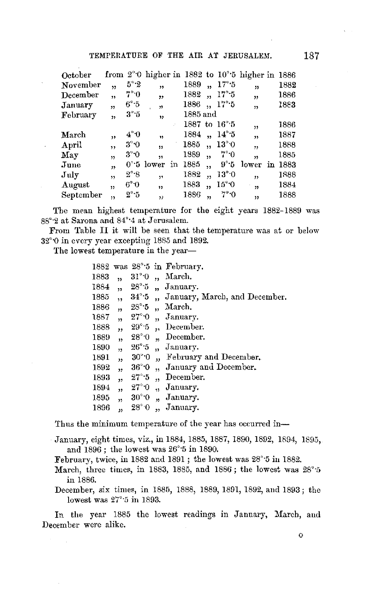### TEMPERATURE OF THE AIR AT JERUSALEM. 187

| October        |                         |                   |                      |            |                      |                       | from $2^{\circ}$ 0 higher in 1882 to $10^{\circ}$ 5 higher in 1886 |         |
|----------------|-------------------------|-------------------|----------------------|------------|----------------------|-----------------------|--------------------------------------------------------------------|---------|
| November       | ,                       | $5^{\circ}$ 2     | , 1                  | 1889       |                      | $17^\circ 5$          | 33                                                                 | 1882    |
| December       | $\overline{\mathbf{v}}$ | 7°0               | ,,                   | 1882       | ,                    | $17^\circ 5$          | $\overline{\mathbf{z}}$                                            | 1886    |
| January        | ,,                      | $6^\circ \cdot 5$ | $\boldsymbol{v}$     | 1886       | $\ddot{\phantom{a}}$ | 17°.5                 | ,                                                                  | 1883    |
| February       | ,                       | $3^\circ 5$       | 99                   | $1885$ and |                      |                       |                                                                    |         |
|                |                         |                   |                      |            |                      | 1887 to $16^{\circ}5$ | ,,                                                                 | 1886    |
| March          | ,,                      | $4^{\circ}0$      | w                    | 1884       |                      | $, 14^{\circ}5$       | $\overline{\mathbf{v}}$                                            | 1887    |
| $_{\rm April}$ | , ,                     | $3^{\circ}$ 0     | 99                   | 1885       | ٠,                   | $13^{\circ}$ 0        | $\ddot{\phantom{1}}$                                               | 1888    |
| Мау            | , 1                     | 3°0               | 55                   | 1889       | ٠,                   | $7^\circ \cdot 0$     | , ,                                                                | 1885    |
| June           | $\overline{\mathbf{z}}$ |                   | $0°:5$ lower<br>in   | 1885       | ,                    | $9^\circ 5$           | lower                                                              | in 1883 |
| July           | $\overline{\mathbf{5}}$ | 2°8               | 11                   | 1882       | ,                    | 13°0                  | 55                                                                 | 1888    |
| August         | 55                      | 6°0               | ,                    | 1883       | ,,                   | $15^{\circ}$ O        | $\mathbf{r}$                                                       | 1884    |
| September      | 99                      | $2^{\circ}$ 5     | $\ddot{\phantom{0}}$ | 1886       | 44                   | 7° 0                  | 99                                                                 | 1888    |

September ,,  $2°5$  ,,  $1886$  ,,  $7°0$  ,,  $1888$ <br>The mean highest temperature for the eight years 1882-1889 was 88°2 at Sarona and 84°4 at Jerusalem.

From Table II it will be seen that the temperature was at or below 32°·0 in every year excepting 1885 and 1892.

The lowest temperature in the year-

| 1882 |                |                        |     | was 28° <sup>-5</sup> in February. |
|------|----------------|------------------------|-----|------------------------------------|
| 1883 | 55             | $31^{\circ}\!\cdot\!0$ | ,,  | March.                             |
| 1884 | 55             | $28^{\circ}$ -5        |     | January.                           |
| 1885 | ,,             | $34^\circ$ 5           |     | January, March, and December.      |
| 1886 | ,,             | $28^{\circ}\cdot 5$    | ,,  | March.                             |
| 1887 | ,,             | $27^{\circ}$ 0         | ٠,  | January.                           |
| 1888 | ,,             | $29^{\circ}$ 5         | ,,  | December.                          |
| 1889 | ,              | $28^{\circ}$ 0         | 51  | December.                          |
| 1890 | ,,             | $26^{\circ}\,5$        | ,,  | January.                           |
| 1891 | ,,             | $30^{\circ}$ 0         | 'n, | February and December.             |
| 1892 | $\overline{1}$ | $36^\circ 0$           | ä.  | January and December.              |
| 1893 | $^{\rm 32}$    | $27^\circ \cdot 5$     | ,,  | December.                          |
| 1894 | ,,             | $27^{\circ}$ 0         | 'n  | January.                           |
| 1895 | 55             | $30^{\circ}$ O         | ,,  | January.                           |
| 1896 | J)             | $28^{\circ}$ 0         | ٠,  | January.                           |
|      |                |                        |     |                                    |

Thus the minimum temperature of the year has occurred in-

January, eight times, viz., in 1884, 1885, 1887, 1890, 1892, 1894, 1895, and 1896 ; the lowest was 26°·5 in 1890.

February, twice, in 1882 and 1891 ; the lowest was 28°·5 in 1882.

- March, three times, in 1883, 1885, and 1886 ; the lowest was 28°·5 in 1886.
- December, six times, in 1885, 1888, 1889, 1891, 1892, and 1893; the lowest was 27°·5 in 1893.

In the year 1885 the lowest readings in January, March, and December were alike.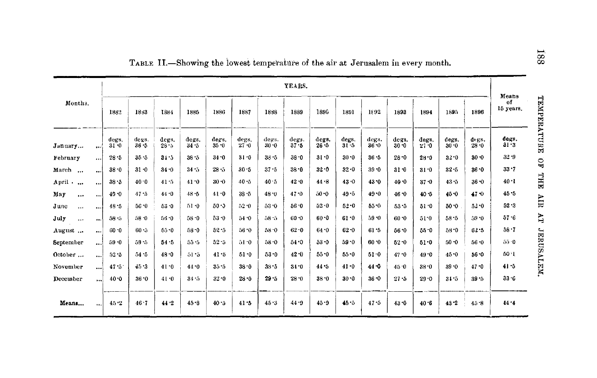|                  |           |                 |                   |                   |                   |                   |                   |               | YEARS.        |                   |                 |               |                   |                   |               |                   | Means                          |
|------------------|-----------|-----------------|-------------------|-------------------|-------------------|-------------------|-------------------|---------------|---------------|-------------------|-----------------|---------------|-------------------|-------------------|---------------|-------------------|--------------------------------|
| Months.          |           | 1882            | 1883              | 1884              | 1885              | 1886              | 1887              | 1888          | 1889          | 1896              | 1891            | 1892          | 1893              | 1894              | 1895          | 1896              | TEMPERATURE<br>of<br>15 years. |
| January          | إنعو      | degs.<br>$31-0$ | degs.<br>$36 - 5$ | degs.<br>$28 - 5$ | degs.<br>$34 - 5$ | degs.<br>$35 - 0$ | degs.<br>$27 - 0$ | degs.<br>30.0 | degs.<br>37.5 | degs.<br>$26 - 5$ | degs.<br>$31-5$ | degs.<br>36.0 | degs.<br>$30 - 0$ | degs.<br>$27 - 0$ | degs.<br>30.0 | degs.<br>$28 - 0$ | degs.<br>$31 - 3$              |
| February         | انتف      | 28.5            | $35 - 5$          | 34.3              | $38 - 5$          | 34.0              | $31 - 0$          | $38 - 5$      | 38.0          | 31.0              | 30.0            | $36 - 5$      | $28 - 0$          | $28 - 0$          | 32.0          | $30 - 0$          | $32 - 9$<br>$\mathbf{S}$       |
| March            |           | 38.0            | $31 - 0$          | $34 - 0$          | $34 - 5$          | $28 - 5$          | $30 - 5$          | $37 - 5$      | $38 - 0$      | 32.0              | $32 - 0$        | $39 - 0$      | $31 - 0$          | $31 - 0$          | $32 - 5$      | $36 - 0$          | $33 - 7$                       |
| April .<br>      | $\cdots$  | 38.5            | 40.0              | 41:5              | 41.0              | $30 - 0$          | $40 - 5$          | 40.5          | $42 - 0$      | 44.8              | 43.0            | $43 - 0$      | 40.0              | $37 - 0$          | $43 - 5$      | $36 - 0$          | THT<br>$40 - 1$                |
| May<br>$\cdots$  | $\cdots$  | $40 - 0$        | 47.5              | 44.0              | 48.5              | 41.0              | $38 - 5$          | 48.0          | 47.0          | $50 - 0$          | $49 - 5$        | $49 - 0$      | 46.0              | $40 - 5$          | 45.0          | 47.0              | $45 - 5$                       |
| June<br>$\cdots$ | $\cdots$  | $48 - 5$        | $56 - 0$          | $53 - 0$          | $51 - 0$          | 50.0              | 52.0              | 53.0          | 56.0          | 52.0              | $52 - 0$        | 55.0          | 53.5              | 51.0              | $50 - 0$      | $52 - 0$          | AIR<br>$52 - 3$                |
| July<br>$\cdots$ |           | $58 - 5$        | $58 - 0$          | 56.0              | $58 - 0$          | $53 - 0$          | 54.0              | 58.5          | $60 - 0$      | $60 - 0$          | 61.0            | $59 - 0$      | 60.0              | 51.0              | $58 - 5$      | $59 - 0$          | FY.<br>57.6                    |
| August           |           | $60 - 0$        | $60 - 5$          | 55.0              | 58.0              | $52 - 5$          | 56.0              | $58 - 0$      | $62 - 0$      | 64.0              | $62 - 0$        | 61.5          | 56.0              | $55 - 0$          | $58 - 0$      | $62 - 5$          | 38.7                           |
| September        | اءء       | 59.0            | 59.5              | 54.5              | $55 - 5$          | 32.5              | 51.0              | 58.0          | 54.0          | $53 - 0$          | 59.0            | 60.0          | $52 - 0$          | 51.0              | $50 - 0$      | $56 - 0$          | JERUSALEM.<br>$55-0$           |
| October          | $\cdots$  | $52 - 5$        | 54.5              | 48.0              | $51 - 5$          | 41.5              | 51.0              | $53 - 0$      | $42 - 0$      | $55-0$            | 55.0            | 51.0          | 47.0              | $49 - 0$          | 40.0          | $56 - 0$          | 50.1                           |
| November         |           | $47 - 5$        | 45.3              | 41.0              | 44.0              | 35-5              | 38.0              | $38 - 5$      | $34 - 0$      | 44.5              | $41 - 0$        | $44 - 0$      | 45 0              | 38.0              | 39.0          | $47 - 0$          | $41 - 5$                       |
| December         | $\cdots$  | 40.0            | 35.0              | 41.0              | 34.5              | $32 - 0$          | $28 - 0$          | 29.5          | $28 - 0$      | $38 - 0$          | $30 - 0$        | $36 - 0$      | $27 - 5$          | 29.0              | 31.5          | 39.5              | $33 - 6$                       |
| Means            | $\ddotsc$ | 45.2            | 46.7              | 44.2              | 45.8              | $40 - 5$          | 41.5              | 45.3          | 44.9          | 45.9              | 40.5            | 47.5          | 43.0              | $40 - 6$          | $43 - 2$      | $45 - 8$          | 44.4                           |

TABLE II.-Showing the lowest temperature of the air at Jerusalem in every month.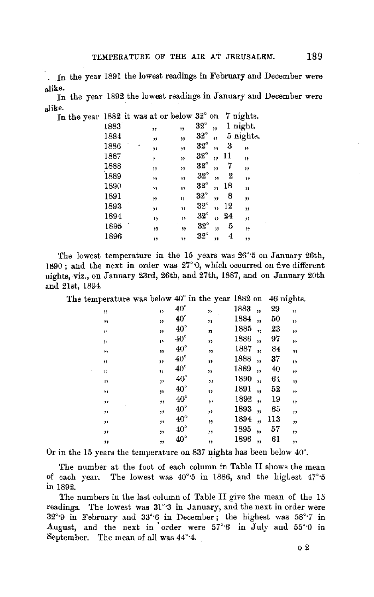In the year 1891 the lowest readings in February and December were alike,

In the year 1892 the lowest readings in January and December were alike.<br>In the

| In the year $1882$ it was at or below $32^{\circ}$ on |      |   |     |    |              |    |    | 7 nights.   |
|-------------------------------------------------------|------|---|-----|----|--------------|----|----|-------------|
|                                                       | 1883 |   | ,,  | ,, | $32^\circ$   | ,, |    | 1 night.    |
|                                                       | 1884 |   | 33  | ,, | $32^\circ$   | ,, |    | 5 nights.   |
|                                                       | 1886 | ś | ,,  | ,, | $32^{\circ}$ | 59 | 3  | ,,          |
|                                                       | 1887 |   | ,   | 37 | $32^\circ$   | ,, | 11 | ,,          |
|                                                       | 1888 |   | ,,  | ,, | $32^\circ$   | ,  | 7  | "           |
|                                                       | 1889 |   | "   | 77 | $32^{\circ}$ | ,, | 2  | $12^{12}$   |
|                                                       | 1890 |   | , 1 | ,, | $32^\circ$   | ,, | 18 | "           |
|                                                       | 1891 |   | ,,  | 11 | $32^\circ$   | ,, | 8  | $^{\prime}$ |
|                                                       | 1893 |   | ,,  | 59 | $32^\circ$   | ,, | 12 | ,,          |
|                                                       | 1894 |   | ,,  | 19 | $32^{\circ}$ | 35 | 24 | ,           |
|                                                       | 1895 |   | 99  | 17 | $32^{\circ}$ | 33 | 5  | ,,          |
|                                                       | 1896 |   | ,,  | 55 | $32^\circ$   | ,1 | 4  | ,,          |
|                                                       |      |   |     |    |              |    |    |             |

The lowest temperature in the 15 years was  $26^{\circ}5$  on January  $26th$ , 1890 ; and the next in order was 27°·0, which occurred on five different nights, viz., on January 23rd, 26th, and 27th, 1887, and on January 20th and 21st, 1894.

| The temperature was below $40^{\circ}$ in the year 1882 on                        |                          |              |                         |      |                          | 46 nights. |                          |
|-----------------------------------------------------------------------------------|--------------------------|--------------|-------------------------|------|--------------------------|------------|--------------------------|
| ,,                                                                                | $\overline{\mathbf{12}}$ | $40^{\circ}$ | ,,                      | 1883 | $\overline{\mathbf{r}}$  | 29         | ,,                       |
| ,,                                                                                | ,,                       | $40^{\circ}$ | ,,                      | 1884 | ,,                       | 50         | $\overline{\phantom{a}}$ |
| $^{\bullet}$                                                                      | "                        | $40^{\circ}$ | $\mathbf{r}$            | 1885 | ,                        | 23         | $, \,$                   |
| ,,                                                                                | ä۹                       | $40^{\circ}$ | $\overline{\mathbf{v}}$ | 1886 | $\overline{\mathbf{a}}$  | 97         | ,                        |
| , ,                                                                               | ,,                       | $40^{\circ}$ | 52                      | 1887 | $\overline{\phantom{a}}$ | 84         | ,,                       |
| $\overline{\phantom{a}}$                                                          | ,,                       | $40^{\circ}$ | $\mathbf{D}$            | 1888 | $\overline{\mathbf{z}}$  | 37         | ,,                       |
| ,,                                                                                | "                        | $40^{\circ}$ | ,,                      | 1889 | ,                        | 40         | ,,                       |
| 33                                                                                | $\mathbf{r}$             | $40^{\circ}$ |                         | 1890 | ,,                       | 64         | $\mathbf{v}$             |
| ,,                                                                                | 53                       | $40^{\circ}$ | , ,                     | 1891 | ,                        | 52         | ,,                       |
| ,,                                                                                | ,,                       | $40^{\circ}$ | ٠,                      | 1892 | $\overline{\mathbf{5}}$  | 19         | 33                       |
| ,,                                                                                | ,,                       | $40^{\circ}$ | ,                       | 1893 | ,                        | 65         | ,,                       |
| ,,                                                                                | ,,                       | $40^{\circ}$ | ,,                      | 1894 | ,,                       | 113        | "                        |
| ,,                                                                                | ,,                       | $40^{\circ}$ | ,,                      | 1895 | $\overline{\mathbf{z}}$  | 57         | ,,                       |
| ,,                                                                                | 22                       | $40^{\circ}$ | ,,                      | 1896 | ,,                       | 61         | ,                        |
| Or in the 15 years the temperature on 837 nights has been below 40 <sup>o</sup> . |                          |              |                         |      |                          |            |                          |

The number at the foot of each column in Table II shows the mean of each year. The lowest was 40°·5 in 1886, and the higLest 47°·5 in 1892.

The numbers in the last column of Table II give the mean of the 15 readings. The lowest was 31°3 in January, and the next in order were 32°·0 in February and 33°·6 in December; the highest was 58°·7 in August, and the next in order were  $57°6$  in July and  $55°0$  in September. The mean of all was 44°·4.

02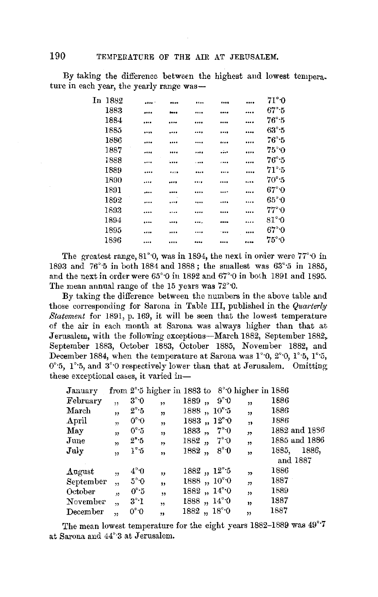By taking the difference between the highest and lowest tempera. ture in each year, the yearly range was-

| In | 1882 | <br>     |   |          | <br>71°0                    |
|----|------|----------|---|----------|-----------------------------|
|    | 1883 | <br>     |   |          | <br>$67^\circ$ -5           |
|    | 1884 | <br>     |   |          | <br>$76^\circ$ -5           |
|    | 1885 | <br>     |   |          | <br>$63^\circ:5$            |
|    | 1886 | <br>     |   |          | <br>$76^\circ$ -5           |
|    | 1887 | <br>     |   |          | <br>$75^{\circ}$ O          |
|    | 1888 | <br>     | . | $\cdots$ | <br>$76^{\circ}$ :5         |
|    | 1889 | <br>**** |   |          | <br>$71^\circ$ -5           |
|    | 1890 | <br>     |   |          | <br>70°:5                   |
|    | 1891 | <br>     |   |          | <br>$67^\circ \cdot 0$      |
|    | 1892 | <br>     |   |          | <br>65°0                    |
|    | 1893 | <br>     |   |          | <br>77°0                    |
|    | 1894 | <br>     |   |          | <br>$81^\circ \cdot \Omega$ |
|    | 1895 | <br>     |   | $-$      | <br>$67^\circ 0$            |
|    | 1896 | <br>     |   |          | <br>75°0                    |
|    |      |          |   |          |                             |

The greatest range,  $81^{\circ}$ , was in 1894, the next in order were  $77^{\circ}$  o in 1893 and 76°·5 in both 1884 and 1888; the smallest was 63°·5 in 1885, and the next in order were 65'·0 in 1892 and 67°·0 in both 1891 and 1895. The mean annual range of the 15 years was 72°·0.

By taking the difference between the numbers in the above table and those corresponding for Sarona in Table III, published in the *Quarterly Statement* for 1891, p. 169, it will be seen that the lowest temperature of the air in each month at Sarona was always higher than that at Jerusalem, with the following exceptions-March 1882, September 1882, September 1883, October 1883, October 1885, November 1882, and December 1884, when the temperature at Sarona was  $1^{\circ}0$ ,  $2^{\circ}0$ ,  $1^{\circ}5$ ,  $1^{\circ}5$ , 0°<sup>-5</sup>, 1°<sup>-5</sup>, and 3°<sup>-0</sup> respectively lower than that at Jerusalem. Omitting these exceptional cases, it varied in-

| January   |                         |                   |                         |       |                      | from $2^{\circ}$ 5 higher in 1883 to $8^{\circ}$ 0 higher in 1886 |          |               |
|-----------|-------------------------|-------------------|-------------------------|-------|----------------------|-------------------------------------------------------------------|----------|---------------|
| February  | $\overline{\mathbf{1}}$ | $3^\circ \cdot 0$ | ,                       | 1889, | $9^\circ 0$          | ,                                                                 | 1886     |               |
| March     | ,,                      | $2^{\circ}$ 5     | $\overline{\mathbf{v}}$ |       | $1888, 10^{\circ}5$  | $\overline{\mathbf{z}}$                                           | 1886     |               |
| April     | 33                      | $0^\circ 0$       | $\overline{\mathbf{r}}$ |       | 1883, 12°0           | ,                                                                 | 1886     |               |
| May       | 33                      | 0°5               | 99                      | 1883, | $7^\circ 0$          | $\overline{\mathbf{r}}$                                           |          | 1882 and 1886 |
| June      | $\overline{\mathbf{v}}$ | 2°.5              | ,                       | 1882, | 7°0                  | , 1                                                               |          | 1885 and 1886 |
| July      | $\overline{ }$          | 1°5               | ,,                      | 1882, | $8^\circ \cdot 0$    | $\overline{1}$                                                    | 1885.    | 1886,         |
|           |                         |                   |                         |       |                      |                                                                   | and 1887 |               |
| August    | 55                      | $4^{\circ}0$      | , ,                     |       | $1882, 12^{\circ}5$  | 55                                                                | 1886     |               |
| September | , 1                     | $5^\circ \cdot 0$ | ,,                      |       | 1888, $10^{\circ}$ 0 | $\overline{\mathbf{z}}$                                           | 1887     |               |
| October   | $\ddot{ }$              | 0°5               | ,                       |       | $1882, 14^{\circ}0$  | ,                                                                 | 1889     |               |
| November  | 55                      | $3^\circ 1$       | ,                       |       | $1888, 14^{\circ}0$  | $\overline{\mathbf{r}}$                                           | 1387     |               |
| December  | 55                      | $0^{\circ}$ 0     | ,,                      | 1882, | $18^{\circ}$ 0       | ,,                                                                | 1887     |               |

The mean lowest temperature for the eight years 1882-1889 was 49°·7 at Sarona and 44°·3 at Jerusalem.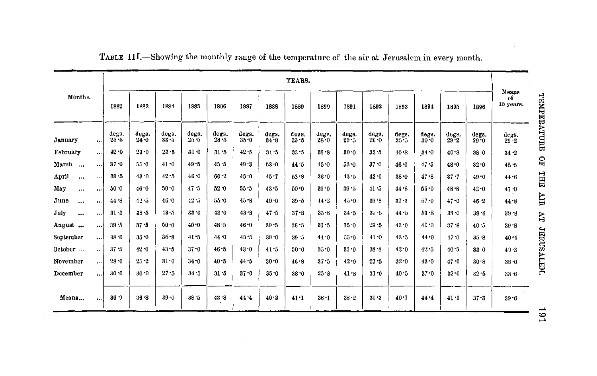|                   |           |                   |               |                   |                   |                   |                   |               | YEARS.        |                   |               |                   |               |                   |                   |               |                          |
|-------------------|-----------|-------------------|---------------|-------------------|-------------------|-------------------|-------------------|---------------|---------------|-------------------|---------------|-------------------|---------------|-------------------|-------------------|---------------|--------------------------|
| Months.           |           | 1882              | 1883          | 1884              | 1885              | 1886              | 1887              | 1888          | 1889          | 1890              | 1891          | 1892              | 1893          | 1894              | 1895              | 1896          | Means<br>of<br>15 years. |
| January           | $\cdots$  | degs.<br>$25 - 5$ | degs.<br>24.0 | degs.<br>$33 - 5$ | degs.<br>$25 - 5$ | degs.<br>$28 - 5$ | degs.<br>$35 - 0$ | degs.<br>34.8 | ders.<br>23.5 | degs.<br>$28 - 0$ | degs.<br>29.5 | degs.<br>$26 - 0$ | degs.<br>35.5 | degs.<br>$30 - 0$ | degs.<br>$29 - 2$ | degs.<br>29.0 | degs.<br>29.2            |
| February          | $\cdots$  | 42.0              | $23 - 0$      | $23 - 5$          | $31 - 0$          | 31.5              | 42.5              | 31.5          | $33 - 5$      | $33 - 8$          | 30.0          | 33.5              | 40.8          | 34.0              | 40.8              | 38.0          | $34 - 2$                 |
| March             | 1.11      | 37.0              | 55.0          | $41 - 0$          | $49 - 5$          | 45.5              | 49.3              | $53 - 0$      | 44.5          | 45.0              | 53.0          | $37 - 0$          | 46.0          | 47.5              | 48.0              | 32.0          | 45.5                     |
| April<br>$\cdots$ | $\cdots$  | $39 - 5$          | 43.0          | 42.5              | 46.0              | 60.2              | 45.0              | $45 - 7$      | 52.8          | 36.0              | $43 - 5$      | 43.0              | $38 - 0$      | 47.8              | $37 - 7$          | $49 - 0$      | 44.6                     |
| May<br>$\cdots$   | $\cdots$  | $50 - 0$          | $46 - 0$      | 50.0              | 47.5              | $52 - 0$          | $55 - 5$          | $43 - 5$      | $50 - 0$      | $39 - 0$          | 39.5          | 41.5              | 44.8          | $55 - 0$          | $48 - 8$          | $42 - 0$      | 47.0                     |
| June<br>$\cdots$  | $\cdots$  | 44.8              | $42 - 5$      | 46.0              | 42.5              | 55.0              | 45.8              | 40.0          | $39 - 5$      | 44.2              | 45.0          | $39 - 8$          | $37 - 3$      | 57.0              | $47 - 0$          | $46 - 2$      | 44.8                     |
| July<br>$\cdots$  | $\cdots$  | 31.3              | 38.5          | 43:5              | $33 - 0$          | $43 - 0$          | 43.8              | $47 - 5$      | $37 - 8$      | $33 - 8$          | $34 - 5$      | $35 - 5$          | 44.5          | 53.8              | $33 - 0$          | $38 - 8$      | $39 - 3$                 |
| August            | $\cdots$  | 39.5              | 37.5          | 50.0              | 40.0              | 48.5              | $46 - 0$          | $39 - 5$      | $38 - 5$      | $31 - 5$          | 35.0          | $29 - 5$          | 43.0          | $41 - 0$          | $37 - 8$          | 40.5          | $39 - 8$                 |
| September         | اءء       | 38.0              | $35 - 0$      | $35 - 8$          | $41 - 5$          | 44.0              | 45.5              | $39 - 0$      | $39 - 5$      | 44.0              | $33 - 0$      | 41.0              | 43.5          | 44.0              | 47.0              | 35.8          | 40.4                     |
| October           | $\bullet$ | 37.5              | $42 - 0$      | $43 - 5$          | $37 - 0$          | 46.5              | 43.0              | 41.5          | $50 - 0$      | $35 - 0$          | $31 - 0$      | $38 - 8$          | 42.0          | $42 - 5$          | $40 - 5$          | 33.0          | 43.3                     |
| November          |           | 28.0              | $25 - 2$      | 31.0              | $34 - 0$          | 40.5              | 44.5              | $30 - 0$      | 46.8          | $37 - 5$          | 42.0          | 27.5              | $32 - 0$      | 43.0              | 47.0              | 30.8          | $36 - 0$                 |
| December          | $\cdots$  | $30 - 0$          | 30.0          | 27.5              | 34.5              | $31 - 5$          | $37 - 0$          | $35 - 0$      | $38 - 0$      | 25.8              | 41.8          | $31 - 0$          | 40.5          | 37.0              | $32-0$            | $32 - 5$      | 33.6                     |
| Means             | اءوه      | 36.9              | $36 - 8$      | 39.0              | 38.5              | 43.8              | 44.4              | 40.3          | 41.1          | $36 - 1$          | $38 - 2$      | 35.3              | 40.7          | 44.4              | 41.1              | $37 - 3$      | $39 - 6$                 |

TABLE III.-Showing the monthly range of the temperature of the air at Jerusalem in every month.

 $161\,$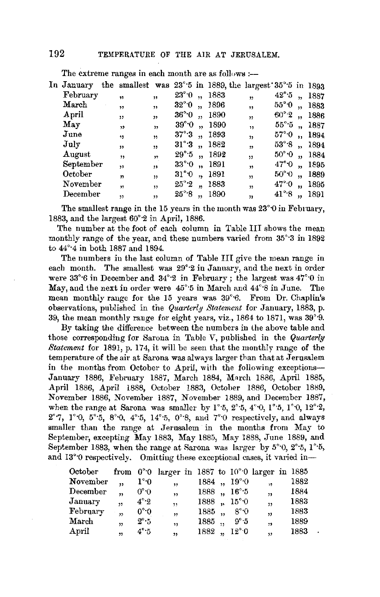| In January the smallest was $23^{\circ}5$ in 1889, the largest $35^{\circ}5$ in 1893 |              |                          |                           |                      |                            |                         |                     |                      |            |
|--------------------------------------------------------------------------------------|--------------|--------------------------|---------------------------|----------------------|----------------------------|-------------------------|---------------------|----------------------|------------|
| February                                                                             | $\bullet$    | ,,                       | $23^{\circ}$ 0            | $\ddot{\phantom{a}}$ | 1883                       | $\overline{\mathbf{r}}$ | $42^{\circ}\cdot 5$ |                      | 1887       |
| March                                                                                | ,,           | ,                        | $32^{\circ}$ <sup>0</sup> | $\ddot{\phantom{a}}$ | 1896                       | , ,                     | $55^{\circ}$ 0      | $\ddot{\phantom{a}}$ | 1883       |
| April                                                                                | ,,           | $\mathbf{H}$             | $36^{\circ}0$             | $\ddot{\phantom{1}}$ | 1890                       | $\overline{\mathbf{z}}$ | 60°2                | $\ddot{\phantom{1}}$ | 1886       |
| May                                                                                  | 12           | $\overline{\mathbf{32}}$ | $39^{\circ}$ 0            | $\ddot{\phantom{a}}$ | 1890                       | $\overline{\mathbf{1}}$ |                     |                      | 55°5, 1887 |
| June                                                                                 | 19           | $^{\ast}$                |                           |                      | $37^{\circ}\cdot 3$ , 1893 | $\overline{\mathbf{r}}$ | 57° O               | $\ddot{\phantom{a}}$ | 1894       |
| July                                                                                 | $\mathbf{D}$ | ,                        |                           |                      | $31^{\circ}3$ , $1882$     | ,                       | $53^\circ.8$ ,      |                      | 1894       |
| August                                                                               | ,            | $\overline{\mathbf{1}}$  |                           |                      | $29^{\circ}5$ , 1892       | $\overline{11}$         | $50^{\circ}$ 0      | $\ddot{\phantom{a}}$ | 1884       |
| September                                                                            | 99           | $^{\prime}$              | $33^\circ 0$              |                      | ,, 1891                    | ,                       | $47^\circ \text{O}$ |                      | ,, 1895    |
| October                                                                              | y,           | ,                        | $31^{\circ}$ $0$          |                      | ,, 1891                    | $\overline{\mathbf{5}}$ | $50^{\circ}0$       | $\ddot{\phantom{a}}$ | 1889       |
| November                                                                             | $\mathbf{H}$ | $\mathbf{D}$             | $25^{\circ}\,2$           | $\ddot{\phantom{a}}$ | 1883                       | $\overline{\mathbf{1}}$ | $47^\circ \cdot 0$  | ,,                   | 1895       |
| December                                                                             | ,            | ,,                       | $25^{\circ}\cdot8$        | ,                    | 1890                       | 33                      | $41^\circ 8$        | ,,                   | 1891       |
|                                                                                      |              |                          |                           |                      |                            |                         |                     |                      |            |

The extreme ranges in each month are as follows :--

December , , ,  $25^{\circ}8$  ,, 1890 , 41<sup>°</sup>·8 , 1891<br>The smallest range in the 15 years in the month was  $23^{\circ}0$  in February, 1883, and the largest 60°·2 in April, 1886.

The number at the foot of each column in Table III shows the mean monthly range of the year, and these numbers varied from 35°·3 in 1892 to 44°·4 in both 1887 and 1894.

The numbers in the last column of Table III give the mean range in each month. The smallest was 29°·2 in January, and the next in order were  $33^{\circ}6$  in December and  $34^{\circ}2$  in February; the largest was  $47^{\circ}0$  in May, and the next in order were 45°·5 in March and 44°·8 in June. The mean monthly range for the 15 years was 39°<sup>6</sup>. From Dr. Chaplin's observations, published in tne *Quarterly Statement* for January, 1883, p. 39, the mean monthly range for eight years, viz., 1864 to 1871, was 39°·9.

By taking the difference between the numbers in the above table and those corresponding for Sarona in Table V, published in the *Quarterly Statement* for 1891, p. 174, it will be seen that the monthly range of the temperature of the air at Sarona was always larger than that at Jerusalem in the months from October to April, with the following exceptions-January 1886, February 1887, March 1884, March 1886, April 1885, **April** 1886, April 1888, October 1883, October 1886, October 1889, November 1886, November 1887, November 1889, and December 1887, when the range at Sarona was smaller by  $1^{\circ}$ -5,  $2^{\circ}$ -5,  $4^{\circ}$ -0,  $1^{\circ}$ -5,  $1^{\circ}$ -0,  $12^{\circ}$ -2, **2°•i,** l°·O, 5°·5, 8°·0, 4°·5, 14°·5, 0°·8, aud 7°·0 respectively, and always smaller than the range at Jerusalem in the months from May to September, excepting May 1883, May 1885, May 1888, June 1889, and September 1883, when the range at Sarona was larger by  $5^{\circ}$  0,  $2^{\circ}$  5,  $1^{\circ}$  5, and 13°0 respectively. Omitting these exceptional cases, it varied in-

| October                |                         |                     | from $0°0$ larger in 1887 to $10°0$ larger in 1885 |                         |                   |                         |      |
|------------------------|-------------------------|---------------------|----------------------------------------------------|-------------------------|-------------------|-------------------------|------|
| November               | ,,                      | $1^{\circ}0$        | ,                                                  | 1884, $19^{\circ}$ 0    |                   | ί9.                     | 1882 |
| December               | $\overline{\mathbf{z}}$ | 0°0                 | $\overline{\mathbf{u}}$                            | 1888 $, 16^{\circ}5$    |                   | $\overline{\mathbf{z}}$ | 1884 |
| January                | $\overline{1}$          | $4^\circ \cdot 2$   | ,                                                  | $1888$ , $15^{\circ}$ 0 |                   | $\mathbf{H}$            | 1883 |
| February               | $\overline{\mathbf{5}}$ | $0^\circ \cdot 0$   | $\overline{\mathbf{v}}$                            | $1885$ .                | $8^{\circ}.0$     | $\overline{\mathbf{v}}$ | 1883 |
| $\operatorname{March}$ |                         | $2^{\circ} \cdot 5$ | ,                                                  | $1885$ ,                | $9^\circ \cdot 5$ | $^{11}$                 | 1889 |
| April                  | $\overline{\mathbf{B}}$ | $4^\circ \cdot 5$   | $\overline{\mathbf{z}}$                            | $1882, 12^{\circ}0$     |                   | $\overline{\mathbf{v}}$ | 1883 |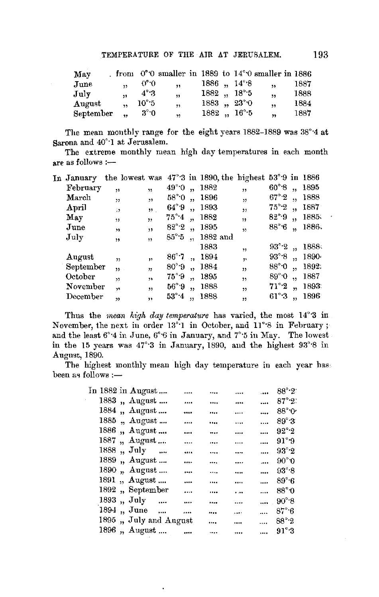| May           |                         |                | from $0^{\circ}0$ smaller in 1889 to $14^{\circ}0$ smaller in 1886 |                        |                                 |                         |      |
|---------------|-------------------------|----------------|--------------------------------------------------------------------|------------------------|---------------------------------|-------------------------|------|
| June          | $\ddot{\phantom{1}}$    | 0°0            | $\overline{\mathbf{1}}$                                            |                        | $1886$ , $14^{\circ}$ 8         | $\overline{\mathbf{a}}$ | 1887 |
| July          | $\overline{\mathbf{u}}$ | $4^\circ$ 3    | $\overline{\mathbf{v}}$                                            | $1882$ , $18^{\circ}5$ |                                 | $\ddot{\phantom{1}}$    | 1888 |
| $\bf{August}$ | $\ddot{\phantom{0}}$    | $10^{\circ}$ 5 | $\overline{\mathbf{3}}$                                            |                        | $1883, 23^{\circ}0$             | ,                       | 1884 |
| September     |                         | $3^{\circ}$ :0 | , 1                                                                |                        | 1882, 16 <sup>°</sup> $\cdot$ 5 | ,                       | 1887 |
|               |                         |                |                                                                    |                        |                                 |                         |      |

The mean monthly range for the eight years 1882-1889 was 38°·4 at Sarona and 40°·1 at Jerusalem.

The extreme monthly mean high day temperatures in each month are as follows  $:=$ 

| In January       | the lowest was $47^{\circ}3$ in 1890, the highest $53^{\circ}9$ in 1886 |                         |                    |                         |          |                         |                    |                      |       |
|------------------|-------------------------------------------------------------------------|-------------------------|--------------------|-------------------------|----------|-------------------------|--------------------|----------------------|-------|
| February         | ,,                                                                      | $\overline{\mathbf{1}}$ | $49^{\circ}$ 0     | ,,                      | 1882     | ,,                      | $60^{\circ}$ 8     | $\ddot{\phantom{0}}$ | 1895  |
| March            | ,,                                                                      | ,                       | 58°0               | ,,                      | 1896     | $\overline{\mathbf{1}}$ | $67^\circ 2$       | وو                   | 1888  |
| April            | $\ddot{\phantom{0}}$                                                    | 55 <sub>1</sub>         | $64^{\circ}$ 9     | $\overline{\mathbf{1}}$ | 1893     | $\overline{\mathbf{z}}$ | $75^\circ 2$       | ٠,                   | 1887  |
| May              | 11                                                                      | ,,                      | $75^{\circ}$ 4     | $\ddot{\phantom{1}}$    | 1882     | ,                       | 82°9               | $\ddot{\phantom{1}}$ | 1885. |
| $_{\text{June}}$ | ,,                                                                      | ,                       | $82^\circ 2$       | 44                      | 1895     | $\overline{\mathbf{3}}$ | $88^{\circ}6$      | $\ddot{ }$           | 1886. |
| July             | $\overline{1}$                                                          | ,,                      | $85^\circ \cdot 5$ | $\ddot{\phantom{1}}$    | 1882 and |                         |                    |                      |       |
|                  |                                                                         |                         |                    |                         | 1883     | ,,                      | $93^\circ 2$       | $\ddot{\phantom{1}}$ | 1888. |
| August           | , 1                                                                     | 11                      | $86^\circ$ .       | $\mathbf{H}$            | -1894    | $\mathbf{r}$            | $93^\circ.8$       | ٠,                   | 1890- |
| September        | $22 -$                                                                  | $\overline{\mathbf{v}}$ | $80^\circ.9$       | $\ddot{\phantom{0}}$    | 1884     | ,                       | $88^\circ \cdot 0$ | $\ddot{\phantom{1}}$ | 1892. |
| October          | $\ddot{\phantom{1}}$                                                    | y,                      | $75^\circ.9$       | $\overline{\mathbf{z}}$ | 1895     | ,,                      | $89^\circ 0$       | ,                    | 1887  |
| November         | $\ddot{}$                                                               | ,                       | $56^{\circ}.9$     | ,                       | 1888     | ,                       | $71^\circ 2$       | $\ddot{\phantom{a}}$ | 1893  |
| December         | $\overline{\mathbf{v}}$                                                 | ,,                      | $53^\circ 4$       | ,                       | 1888     | 99                      | $61^\circ 3$       | y,                   | 1896  |
|                  |                                                                         |                         |                    |                         |          |                         |                    |                      |       |

Thus the *mean high day temperatiwe* has varied, the most 14°·3 in November, the next in order 13°·1 in October, and 11°·8 in February; and the least 6°·4 in June, 6°·6 in January, and 7°·5 in May. The lowest in the 15 years was 47°·3 in January, 1890, and the highest 93°·8 in Augnst, 1890.

The highest monthly mean high day temperature in each year hasbeen as follows :-

|      | In 1882 in August     |          |       |          | .        | 88° 2.                    |
|------|-----------------------|----------|-------|----------|----------|---------------------------|
|      | 1883, August          |          | <br>  |          |          | $87^{\circ}$ 2.           |
|      | 1884 "August ….       |          | <br>  |          |          | $88^{\circ}$ <sup>O</sup> |
| 1885 | "August …             |          | <br>  |          | .        | $89^\circ$ :3             |
|      | 1886, August          |          | <br>  |          |          | $92^\circ 2$              |
|      | 1887, $\Delta$ ugust  |          | <br>  | .        | .        | 91°9                      |
|      | 1888, July            |          | <br>. |          | $\cdots$ | $93^\circ 2$              |
|      | 1889, August          |          | <br>  |          | $\cdots$ | $90^{\circ}$ <sup>0</sup> |
|      | 1890, August          |          | <br>  |          |          | $93^\circ.8$              |
| 1891 | ,. August             |          | <br>  |          |          | 89°6                      |
|      | 1892, September       |          | <br>  | .        | .        | 88°0                      |
|      | $1893$ , July         | $\cdots$ | <br>  |          |          | $90^\circ.8$              |
|      | 1894, June            |          | <br>  | $\cdots$ |          | 87° 6                     |
|      | 1895, July and August |          |       |          | .        | 88° 2                     |
|      | 1896, August          |          | <br>  |          |          | $91^\circ$ :2             |
|      |                       |          |       |          |          |                           |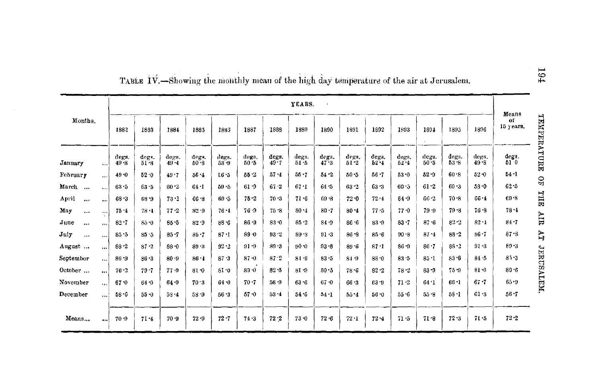|                    |           |               |                   |                   |                   |                   |                   |                   | YEARS.            |               |                   |                   |                   |                   |               |               |                                         |
|--------------------|-----------|---------------|-------------------|-------------------|-------------------|-------------------|-------------------|-------------------|-------------------|---------------|-------------------|-------------------|-------------------|-------------------|---------------|---------------|-----------------------------------------|
| Months.            |           | 1882          | 1883              | 1884              | 1885              | 1885              | 1887              | 1888              | 1889              | 1890          | 1891              | 1892              | 1893              | 1894              | 1895          | 1896          | Means<br>TENPERATURE<br>of<br>15 years. |
| January            | $\cdots$  | degs.<br>49.3 | degs.<br>$51 - 8$ | degs.<br>$49 - 4$ | degs.<br>$60 - 8$ | degs.<br>$53 - 9$ | degs.<br>$50 - 5$ | degs.<br>$49 - 7$ | degs.<br>$51 - 5$ | degs.<br>47.3 | degs.<br>$61 - 2$ | degg.<br>$62 - 4$ | degs.<br>$62 - 4$ | degs.<br>$50 - 5$ | degs.<br>53.8 | degs.<br>49.8 | degs.<br>$51^{\circ}0$                  |
| February           | $\cdots$  | 49.0          | 52.0              | 49.7              | $56 - 4$          | $6.5 - 5$         | $55 - 2$          | 57.4              | $55 - 7$          | $54 - 2$      | $50 - 5$          | 56.7              | 53.0              | $52 - 9$          | 60.8          | $52 - 0$      | $54 - 1$                                |
| March<br>$\ddotsc$ | $\ddotsc$ | 63.5          | $63 - 5$          | $60 - 2$          | 64.1              | $59 - 5$          | 61.9              | 67.2              | 67.1              | 64.5          | 63.2              | $63 - 3$          | 60.5              | 61.2              | $60 - 3$      | $58 - 0$      | g<br>62.5                               |
| April<br>$\ddotsc$ |           | $68 - 3$      | 68.9              | $73 - 2$          | 66.8              | $69 - 5$          | 75.2              | 70.3              | $71 - 6$          | $69 - 8$      | $72 - 0$          | 72.4              | 64.9              | 66.2              | 70.8          | $66 - 4$      | THE<br>69.8                             |
| May<br>$\cdots$    |           | $75 - 4$      | 78.1              | $77 - 2$          | $82 - 9$          | 76.4              | 76-9              | 75.8              | $80 - 4$          | 80.7          | $80 - 4$          | 77.5              | $77 - 0$          | $79 - 9$          | $79 - 8$      | $76 - 8$      | $78 - 4$                                |
| June<br>$\cdots$   | $\cdots$  | $82 - 7$      | 85.0              | $85 - 5$          | $82 - 9$          | 88.6              | $86 - 9$          | 83.0              | 85.2              | 84.9          | 86.6              | $83 - 9$          | $83 - 7$          | 87.6              | 2.2           | 82.1          | HIR<br>84.7                             |
| July<br>$\cdots$   | $\cdots$  | 85.5          | 85.5              | $85 - 7$          | $85 - 7$          | $87 - 1$          | $89 - 0$          | $93 - 2$          | $89 - S$          | 91.3          | $86 - 8$          | $85 - 6$          | $90 - 8$          | 87.4              | $88 - 2$      | $86 - 7$      | Ę<br>87.3                               |
| August             | $\cdots$  | $88 - 2$      | $87 - 2$          | $88 - 0$          | 89.3              | 92.2              | $91 - 9$          | 89.3              | 90.0              | 93.8          | 89.6              | 87.1              | 86.9              | $86 - 7$          | $88 - 2$      | $91 - 3$      | 69.8                                    |
| September          | $\cdots$  | $86 - 9$      | $86 - 3$          | $80 - 9$          | $86 - 1$          | 87.3              | $87 - 0$          | 87.2              | 81.6              | $83 - 5$      | 84.9              | $88 - 0$          | $83 - 5$          | 85 <sub>1</sub>   | $83 - 8$      | $84 - 5$      | <b>JERUSALEM</b><br>$85 - 2$            |
| October            |           | 76.2          | $79 - 7$          | 77.9              | $81-0$            | $81 - 0$          | $89 - 0$          | 82.5              | 81-9              | 80.5          | $78 - 6$          | $82 - 2$          | $78 - 2$          | $83 - 9$          | 75.9          | $81 - 0$      | 80.6                                    |
| November           | $\cdots$  | 67.0          | 64.0              | $64 - 9$          | 70.3              | $64 - 0$          | $70 - 7$          | 56 9              | 63.6              | 67.0          | 66.3              | $63 - 9$          | 71.2              | 64.1              | $66 - 1$      | $67 - 7$      | 65.9                                    |
| December           | !         | $58 - 6$      | $55 - 0$          | $58 - 4$          | $53 - 9$          | 56.3              | $57 - 0$          | 53.4              | 54.6              | $54 - 1$      | $55 - 4$          | $56 - 0$          | 55.6              | 55.8              | $b8 - 1$      | 61.3          | $56 - 7$                                |
| Means              |           | $70 - 9$      | $71 - 4$          | $70 - 9$          | $72 - 9$          | $72 - 7$          | 74.3              | 72.2              | $73 - 0$          | 72.6          | $72 - 1$          | $72 - 4$          | $71 - 5$          | 71.8              | $72 - 3$      | $71 - 5$      | $72 - 2$                                |

TABLE IV.-Showing the monthly mean of the high day temperature of the air at Jerusalem.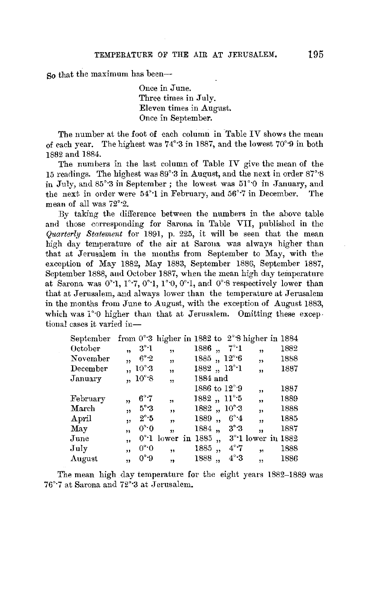So that the maximum has been-

Once in June. Three times in July. Eleven times in August. Once in September.

The number at the foot of each column in Table IV shows the mean of each year. The highest was 74°·3 in 1887, and the lowest 70°·9 in both 1882 and 1884.

The numbers in the last column of Table IV give the mean of the 15 readings. The highest was 89'·3 in August, and the next in order 87'·8 in July, and 85°3 in September; the lowest was 51°0 in January, and the next in order were 54°·1 in February, and 56°·7 in December. The mean of all was 72°·2.

By taking the difference between the numbers in the above table and those corresponding for Sarona in Table VII, published in the *Quarterly Statement* for 1891, p. 225, it will be seen that the mean high day temperature of the air at Saroua was always higher than that at Jerusalem in the months from September to May, with the exception of May 1882, May 1883, September 1886, September 1887, September 1888, and October 1887, when the mean high day temperature at Sarona was  $0°1$ ,  $1°7$ ,  $0°1$ ,  $1°0$ ,  $0°1$ , and  $0°8$  respectively lower than that at Jerusalem, and always lower than the temperature at Jerusalem in the months from June to August, with the exception of August 1883, which was  $1^{\circ}0$  higher than that at Jerusalem. Omitting these exceptional cases it varied in-

| September from $0^{\circ}3$ higher in 1882 to $2^{\circ}8$ higher in 1884 |    |                   |                         |          |                  |                        |                         |                             |  |
|---------------------------------------------------------------------------|----|-------------------|-------------------------|----------|------------------|------------------------|-------------------------|-----------------------------|--|
| October                                                                   | 'n | $3^\circ 1$       | $\ddot{\phantom{1}}$    | 1886     | $\ddot{\bullet}$ | – 7°•1                 | 99                      | 1882                        |  |
| November                                                                  | 55 | 6°2               | ,                       |          |                  | $1885, 12^{\circ}6$    | ,                       | 1888                        |  |
| December                                                                  |    | $10^{\circ}3$     | ,                       |          |                  | $1882, 13^\circ 1$     | ,                       | 1887                        |  |
| January                                                                   |    | $10^{\circ}$ .8   | $\overline{\mathbf{1}}$ | 1884 and |                  |                        |                         |                             |  |
|                                                                           |    |                   |                         |          |                  | 1886 to $12^{\circ}.9$ | ,,                      | 1887                        |  |
| February                                                                  | 13 | $6^{\circ}$ .7    | ,,                      |          |                  | $1882, 11^{\circ}5$    | ,                       | 1889                        |  |
| March                                                                     | ,  | $5^\circ 3$       | ,,                      |          |                  | $1882, 10^{\circ}3$    | ,                       | 1888                        |  |
| April                                                                     | 99 | $2^\circ \cdot 5$ | , 7                     | 1889     | ,                | $6^\circ 4$            | $\overline{\mathbf{z}}$ | 1885                        |  |
| May                                                                       | 'n | $0^\circ \cdot 0$ | $\overline{\mathbf{v}}$ | 1884,    |                  | $3^\circ 3$            | 53                      | 1887                        |  |
| June                                                                      | ,, |                   | $0^{\circ}$ l lower in  | 1885     |                  |                        |                         | $3^{\circ}$ l lower in 1882 |  |
| July                                                                      | ,, | $0^\circ \cdot 0$ | 99                      | 1885     | ,                | $4^\circ$ 7            | 59                      | 1888                        |  |
| August                                                                    | ,, | 0°9               | 99                      | 1888     | ,                | $4^\circ \cdot 3$      | 55                      | 1886                        |  |
|                                                                           |    |                   |                         |          |                  |                        |                         |                             |  |

The mean high day temperature for the eight years 1882-1889 was 76°<sup>-7</sup> at Sarona and 72°<sup>-3</sup> at Jerusalem.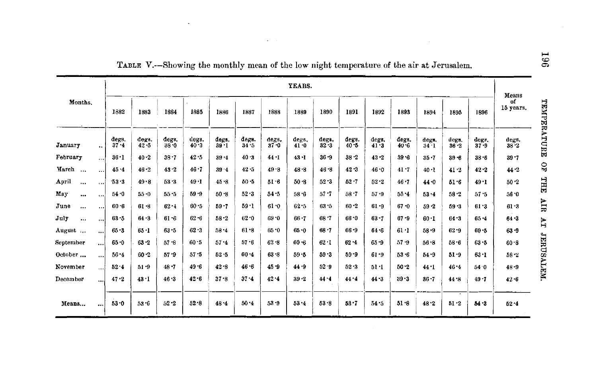|                   |          |                   |                   |                   |                   |                   |               |                   | YEARS.            |                   |                   |                   |                   |                   |                                      |                   | Means             |
|-------------------|----------|-------------------|-------------------|-------------------|-------------------|-------------------|---------------|-------------------|-------------------|-------------------|-------------------|-------------------|-------------------|-------------------|--------------------------------------|-------------------|-------------------|
| Months.           |          | 1882              | 1883              | 1884              | 1885              | 1886              | 1887          | 1888              | 1889              | 1890              | 1891              | 1892              | 1893              | 1894              | 1895                                 | 1896              | of<br>15 years.   |
| January           | $\sim$   | degs.<br>$37 - 4$ | degs.<br>$42 - 5$ | degs.<br>$38 - 0$ | degs.<br>$40 - 3$ | degs.<br>$39 - 1$ | degs.<br>34.5 | degs.<br>$37 - 0$ | degs,<br>$41 - 0$ | degs,<br>$32 - 3$ | degs.<br>$40 - 5$ | degs.<br>$41 - 3$ | dega.<br>$40 - 6$ | degs.<br>$34 - 1$ | degs.<br>$36 - 2$                    | degs.<br>$37 - 9$ | degs.<br>$38 - 2$ |
| February          | $\cdots$ | $36 - 1$          | 40.2              | 38.7              | 42.5              | $39 - 4$          | 40.3          | 44.1              | $43 - 1$          | $36 - 9$          | 38 2              | $43 - 2$          | 39.6              | $35 - 7$          | $39 - 6$                             | $38 - 6$          | $39 - 7$          |
| March<br>$\cdots$ | $\cdots$ | 45.4              | 46.2              | $43 - 2$          | 46.7              | 39.4              | 42.5          | 49.8              | 48.8              | $46 - 8$          | 42.3              | $46 - 0$          | 41.7              | $40 - 1$          | 41.2                                 | 42.2              | 44.2              |
| April<br>$\cdots$ | $\cdots$ | 53.3              | $49 - 8$          | 53.3              | $49 - 1$          | 45.8              | $50 - 5$      | $51 - 6$          | $50 - 8$          | $52 - 3$          | $52 - 7$          | $52 - 2$          | 46.7              | 44.0              | 51.6                                 | $49 - 1$          | $50 - 2$          |
| May<br>           | $\cdots$ | 54.0              | $55 - 0$          | 55.5              | $59 - 9$          | $50 - 8$          | 52.3          | $54 - 5$          | $58 - 6$          | $57 - 7$          | 58.7              | $57 - 9$          | 55.4              | 53.4              | $58 - 2$                             | 57.5              | 56.0              |
| June<br>          | $\cdots$ | $60 - 6$          | 61.8              | $62 - 1$          | $60 - 5$          | $59 - 7$          | 59.1          | 610               | 62.5              | $63 - 5$          | $60 - 2$          | $61 - 9$          | $67 - 0$          | 59 - 2            | $59 - 3$                             | $61 - 3$          | $61 - 3$          |
| July<br>          | $\cdots$ | 63.5              | 64.3              | 61.6              | $62 - 6$          | $58 - 2$          | $62 - 0$      | $69 - 0$          | $66 - 7$          | 68.7              | 66.0              | $63 - 7$          | $67 - 9$          | $60 - 1$          | 64.3                                 | $65 - 4$          | 64.3              |
| August            | $\cdots$ | $65 - 3$          | 65.1              | 63.5              | 62.3              | $58 - 4$          | 61.8          | $65 - 0$          | $65 - 0$          | $68 - 7$          | $66 - 9$          | $64 - 6$          | $61 - 1$          | 58.9              | $62 - 9$                             | $69 - 5$          | $63 - 9$          |
| September         | $\cdots$ | 65.0              | $63 - 2$          | 57.8              | 60.5              | $57 - 4$          | $57 - 6$      | 62.8              | $60 - 6$          | 62.1              | $62 - 4$          | $65 - 9$          | 57.9              | 56.8              | 58.6                                 | $63 - 5$          | 60.3              |
| October           | $\cdots$ | $56 - 4$          | $60 - 2$          | 57.9              | $57 - 5$          | $52 - 5$          | $60 - 4$      | $63 - 8$          | $59 - 5$          | 59.3              | $59 - 9$          | $61 - 9$          | $53 - 6$          | 54.9              | $51 - 9$                             | $63 - 1$          | $58 - 2$          |
| November          | . 1      | $52 - 4$          | 51.9              | 48.7              | 49.6              | 42.8              | 46.6          | $45 - 9$          | 44.9              | 52.9              | $52 - 3$          | 51.1              | $50 - 2$          | 44.1              | $46 - 4$                             | 54 0              | $48 - 9$          |
| December          | $\cdots$ | 47.2              | 43.1              | 46.3              | $42 - 6$          | $37 - 8$          | 37.4          | 42.4              | $39 - 2$          | $44 - 4$          | 44.4              | $44 - 3$          | $39 - 3$          | $36 - 7$          | $44 - 8$                             | $49 - 7$          | $42 - 6$          |
| Means             |          | $53 - 0$          | $53 - 6$          | $52 - 2$          | 52.8              | 48.4              | $50 - 4$      | 53.9              | $53 - 4$          | 53.8              | 53.7              | 54.5              | 51.8              | 48.2              | $\overline{\phantom{a}}$<br>$51 - 2$ | $54 - 3$          | 52.4              |

TABLE V.--Showing the monthly mean of the low night temperature of the air at Jerusalem.

**Contact Contact** 

 $\ddot{\phantom{a}}$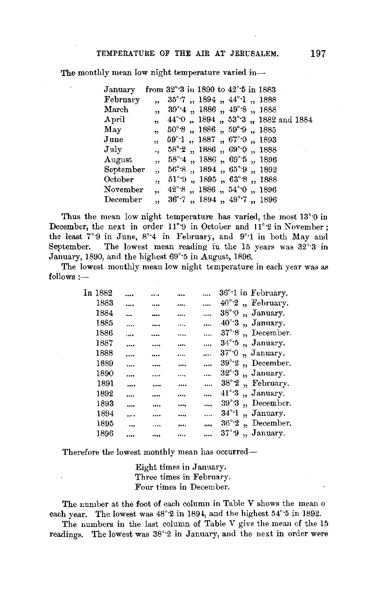The monthly mean low night temperature varied in-

| January                |                      |  | from $32^{\circ}$ 3 in 1890 to $42^{\circ}$ 5 in 1883         |  |  |  |  |
|------------------------|----------------------|--|---------------------------------------------------------------|--|--|--|--|
| February               |                      |  | " 35°7, 1894, 44°1, 1888                                      |  |  |  |  |
| $\operatorname{March}$ |                      |  | " 39°4, 1886, 49°8, 1888                                      |  |  |  |  |
| $_{\rm April}$         |                      |  | " 44° 0 " 1894 " 53° 3 " 1882 and 1884                        |  |  |  |  |
| May                    |                      |  | $, 50^{\circ}6, 1886, 59^{\circ}9, 1885$                      |  |  |  |  |
| June                   |                      |  | ", 59°·1, 1887, 67°·0, 1893                                   |  |  |  |  |
| $\rm{July}$            |                      |  | $, 58^{\circ}\text{-}2$ , 1886 , $69^{\circ}\text{-}0$ , 1888 |  |  |  |  |
| $\rm{August}$          |                      |  | $, 58^{\circ}4$ $, 1886$ $, 69^{\circ}5$ $, 1896$             |  |  |  |  |
| September              | m.                   |  | 56°*8, 1894, 65°*9, 1892                                      |  |  |  |  |
| October                | $\ddot{\mathbf{r}}$  |  | $51^{\circ}$ 9, 1895, 63°8, 1888                              |  |  |  |  |
| $\rm November$         | $\ddot{\phantom{0}}$ |  | $42^{\circ}$ 8, 1886, $54^{\circ}$ 0, 1896                    |  |  |  |  |
| December               | 55.                  |  | $36^{\circ}$ 7, 1894, 49 <sup>°</sup> 7, 1896                 |  |  |  |  |

Thus the mean low night temperature has varied, the most 13°·0 in December, the next in order 11°9 in October and 11°2 in November; the least 7°·9 in June, 8°·4 in February, and 9°·1 in both May and September. The lowest mean reading in the 15 years was  $32^{\circ}$ -3 in January, 1890, and the highest 69°·5 in August, 1896.

The lowest monthly mean low night temperature in each year was as  $follows:$ 

| In 1882 |         |          |      | 36°·1 in February.                                 |
|---------|---------|----------|------|----------------------------------------------------|
| 1883    |         | .        |      | $40^{\circ}$ 2, February.                          |
| 1884    |         |          | <br> | $38^{\circ}$ 0<br>January.<br>$\ddot{\phantom{a}}$ |
| 1885    | .       |          | <br> | $40^{\circ}$ :3<br>" January.                      |
| 1886    |         |          | <br> | $37^\circ.8$<br>December.<br>$\ddot{\phantom{a}}$  |
| 1887    |         |          | <br> | $34^\circ 5$<br>" January.                         |
| 1888    |         |          |      | $37^\circ \cdot 0$<br>"January.                    |
| 1889    |         |          | <br> | $39^\circ 2$<br>"December.                         |
| 1890    |         |          | <br> | $32^\circ \cdot 3$<br>"January.                    |
| 1891    |         |          | <br> | " February.<br>$38^\circ 2$                        |
| 1892    |         |          | <br> | " January.<br>$41^{\circ}$ 3                       |
| 1893    |         |          | <br> | December.<br>$39^\circ 3$<br>$\ddot{\phantom{0}}$  |
| 1894    |         |          | <br> | January.<br>34° 1<br>,                             |
| 1895    | $-0.08$ | $\cdots$ | <br> | December.<br>$36^\circ 2$<br>$\ddot{\phantom{1}}$  |
| 1896    |         |          |      | 37°9<br>" January.                                 |

Therefore the lowest monthly mean has occurred-

Eight times in January. Three times in February. Four times in December.

The number at the foot of each column in Table V shows the mean o each year. The lowest was  $48^{\circ}2$  in 1894, and the highest  $54^{\circ}5$  in 1892.

The numbers in the last column of Table V give the mean of the 15 readings. The lowest was 38°2 in January, and the next in order were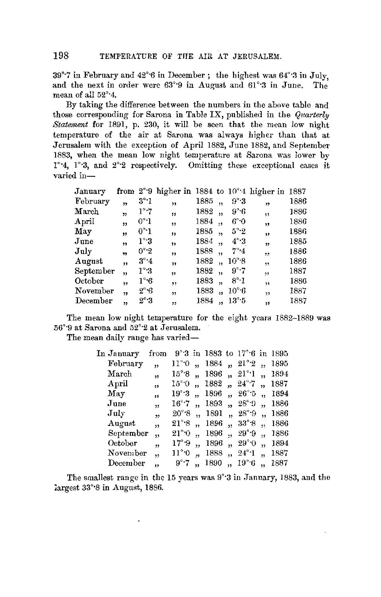39°<sup>-7</sup> in February and 42°<sup>-6</sup> in December; the highest was  $64^{\circ}$ <sup>3</sup> in July, and the next in order were  $63^{\circ}$ 9 in August and  $61^{\circ}$ <sup>3</sup> in June. The and the next in order were  $63^{\circ}$ 9 in August and  $61^{\circ}$ 3 in June. mean of all 52°·4.

By taking the difference between the numbers in the above table and those corresponding for Sarona in Table IX, published in the *Quarterly Statement* for 1891, p. 230, it will be seen that the mean *low* night temperature of the air at Sarona was always higher than that at Jerusalem with the exception of April 1882, June 1882, and September 1883, when the mean low night temperature at Sarona was lower by 1°·4, 1°·3, and 2°·2 respectively. Omitting these exceptional cases it varied in-

| January        |                |                   | from $2^{\circ}$ 9 higher in 1884 to $10^{\circ}$ 4 higher in 1887 |      |                      |                   |                          |      |
|----------------|----------------|-------------------|--------------------------------------------------------------------|------|----------------------|-------------------|--------------------------|------|
| February       | $\overline{1}$ | $3^{\circ}\cdot1$ | ,,                                                                 | 1885 | 15                   | $9^\circ 3$       | 12                       | 1886 |
| March          | ,,             | $1^\circ$ .7      | ,,                                                                 | 1882 | $\bullet$            | $9^\circ 6$       | ,                        | 1886 |
| $_{\rm Aoril}$ | $^{\prime}$    | $0^{\circ}$ -1    | 55                                                                 | 1884 | 19                   | 6°0               | ,                        | 1886 |
| May            | ,,             | $0^{\circ}1$      | $\overline{\mathbf{z}}$                                            | 1885 | ,                    | $5^\circ \cdot 2$ | ,,                       | 1886 |
| June           | ,              | $1^\circ 3$       | ,,                                                                 | 1884 | 13                   | $4^\circ$ 3       | $\overline{\mathbf{22}}$ | 1885 |
| July           | 99             | 0°2               | "                                                                  | 1888 | ,                    | $7^\circ \cdot 4$ | , 1                      | 1886 |
| August         | ,,             | $3^\circ 4$       | $^{\prime}$                                                        | 1882 | ٠,                   | $10^{\circ}$ 8    | , 1, 3                   | 1886 |
| September      | ,,             | $1^{\circ}.3$     | 11                                                                 | 1882 | $\ddot{\phantom{1}}$ | $9^\circ$ 7       | 55                       | 1887 |
| October        | $\overline{1}$ | $1^\circ 6$       | ,,                                                                 | 1883 | $\ddot{\phantom{1}}$ | $8^\circ$ 1       | ,,                       | 1886 |
| November       | 13             | $2^{\circ}$ 6     | $\overline{\phantom{a}}$                                           | 1883 | ,,                   | $10^{\circ}6$     | ,,                       | 1887 |
| December       | ,,             | $2^{\circ}\cdot3$ | ,,                                                                 | 1884 |                      | $13^\circ 5$      | ,                        | 1887 |

The mean low night temperature for the eight years 1882-1889 was .56°·9 at Sarona and 52°·2 at Jerusalem.

The mean daily range has varied-

| In January             | from                    |                |      | $9^{\circ}\!\!.3$ in 1883 to 17 $^{\circ}\!\!.6$ in 1895 |                      |      |
|------------------------|-------------------------|----------------|------|----------------------------------------------------------|----------------------|------|
| February               | ,,                      | 11°0           |      | $1884$ , $21^{\circ}2$                                   | ٠,                   | 1895 |
| $\operatorname{March}$ | ,,                      | 15°8           |      | $1896$ , $21^{\circ}1$                                   |                      | 1894 |
| April                  | , 1                     | 15° 0          | 1882 | $\therefore$ 24°7 $\therefore$                           |                      | 1887 |
| May                    | ,,                      | 19°3           | 1896 | $n^{96}$                                                 |                      | 1894 |
| June                   | $\overline{\mathbf{z}}$ | $16^\circ$ 7   | 1893 | $, 28^{\circ}.9$                                         |                      | 1886 |
| $\rm\,July$            | $\overline{\mathbf{z}}$ | $20^\circ$ 8   | 1891 | $, 28^{\circ}$ .9                                        | ٠.                   | 1886 |
| $\rm{August}$          | ,,                      | $21^\circ$ $8$ | 1896 | $, 33^{\circ}8$                                          | ăs.                  | 1886 |
| September              | ,,                      | $21^{\circ}$ 0 | 1896 | $, 29^{\circ}$ 9                                         |                      | 1886 |
| October                | ,                       | $17^\circ.9$   | 1896 | $, 29^{\circ}0$                                          | ,,                   | 1894 |
| $\rm November$         | $\ddot{\phantom{1}}$    | 11°0           | 1888 | $, 24^{\circ}1$                                          | $\ddot{\phantom{0}}$ | 1887 |
| December               | $\ddot{\phantom{1}}$    | $9^\circ$ 7    | 1890 | $, 19^{\circ}6$                                          | ä,                   | 1887 |
|                        |                         |                |      |                                                          |                      |      |

The smallest range in the 15 years was 9°·3 in January, 1883, and the largest 33°·8 in August, 1886.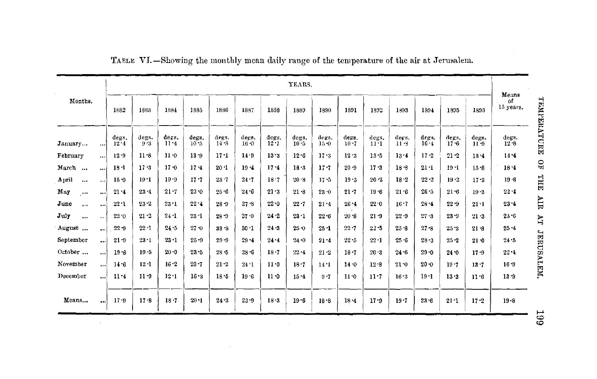|                   | YEARS.    |                   |              |               |                   |                   |               |                   |                 |                   |                   | Means             |                 |                   |                   |                   |                   |
|-------------------|-----------|-------------------|--------------|---------------|-------------------|-------------------|---------------|-------------------|-----------------|-------------------|-------------------|-------------------|-----------------|-------------------|-------------------|-------------------|-------------------|
| Months.           |           | 1882              | 1883         | 1884          | 1885              | 1886              | 1887          | 1838              | 1889            | 1890              | 1891              | 1892              | 1893            | 1894              | 1895              | 1898              | of<br>lő years.   |
| January           | $\cdots$  | degs.<br>$12 - 4$ | ders.<br>9.3 | dega.<br>11.4 | degs.<br>$10 - 5$ | degs.<br>$14 - 8$ | degs.<br>16.0 | degs.<br>$12 - 7$ | degs.<br>$10-5$ | degs.<br>$15 - 0$ | degs.<br>$10 - 7$ | degs.<br>$11 - 1$ | degs.<br>$11-3$ | degs.<br>$16 - 4$ | degs.<br>$17 - 6$ | degs.<br>$11 - 9$ | degs.<br>$12 - 8$ |
| February          | الممع     | $12 - 9$          | 11.8         | 11.0          | 13.9              | $17 - 1$          | 14.9          | $13 - 3$          | 12.6            | 17.3              | 12.3              | $13 - 5$          | 13.4            | $17 - 2$          | $21 - 2$          | 13.4              | $14 - 4$          |
| March             | $\cdots$  | $18 - 1$          | $17 - 3$     | $17 - 0$      | $17 - 4$          | 20:1              | $19 - 4$      | 17.4              | $18 - 3$        | $17 - 7$          | 20.9              | $17 - 3$          | 18.8            | $21 - 1$          | $19 - 1$          | $16 - 8$          | 18.4              |
| April<br>$\cdots$ |           | $15 - 0$          | $19 - 1$     | $19 - 9$      | $17 - 7$          | $23 - 7$          | 24.7          | 18.7              | 20.8            | $17 - 5$          | $19-3$            | 20.2              | 18.2            | $22 - 2$          | 19.2              | $17 - 3$          | $19 - 6$          |
| May<br>$\cdots$   | $\cdots$  | 21.4              | 23.4         | $21 - 7$      | $23 - 0$          | 25.6              | 24.6          | 21.3              | 21.8            | $23 - 0$          | $21 - 7$          | 19.6              | 21.6            | 26.5              | $21 - 6$          | $19 - 3$          | $22 - 4$          |
| June<br>$-1$      | $\cdots$  | $22 - 1$          | $23 - 2$     | $23 - 1$      | 22.4              | $28 - 9$          | $27 - 8$      | $22 - 0$          | $22 - 7$        | $21 - 4$          | $26 - 4$          | 22.0              | 16.7            | $28 - 4$          | $22 - 9$          | $21 \cdot 1$      | 23.4              |
| July<br>$\cdots$  | $\ddotsc$ | 22.0              | 21.2         | $24 - 1$      | 23.1              | $26 - 9$          | $27 - 0$      | 24.2              | $23 - 1$        | $22 - 6$          | 20.3              | $21 - 9$          | $22 - 9$        | $27 - 3$          | $23 - 9$          | $21 - 3$          | $23 - 6$          |
| August            | ا ۱۰۰     | $22 - 9$          | $22 - 1$     | 24.5          | $27 - 0$          | $33 - 8$          | $30 - 1$      | $24 - 3$          | 25.0            | $25 - 1$          | 22.7              | 22.5              | 25.8            | $27 - 8$          | 25.3              | $21 - 3$          | $25 - 4$          |
| September         | $\ddotsc$ | $21 - 9$          | $23 - 1$     | $23 - 1$      | $25 - 9$          | $29 - 9$          | $29 - 4$      | 24.4              | 24 0            | $21 - 4$          | $22 - 5$          | $22 - 1$          | 25.6            | $28 - 3$          | $25 - 2$          | $21 - 0$          | 24.5              |
| October           | $\cdots$  | $19 - 8$          | $19 - 5$     | $20 - 0$      | $23 - 5$          | $28 - 5$          | $28 - 6$      | $18 - 7$          | 22.4            | $21 - 2$          | $18 - 7$          | 20.3              | 24.6            | $29 - 0$          | $24 - 0$          | 17.9              | $22 - 4$          |
| November          | $\cdots$  | $14 - 6$          | $12 - 1$     | 16.2          | $20 - 7$          | $21 - 2$          | 24.1          | 11.0              | $18 - 7$        | 14.1              | 14.0              | 12.8              | 21.0            | $20 - 0$          | $19 - 7$          | 13.7              | $16 - 9$          |
| December          | $\cdots$  | $11 - 4$          | $11 - 9$     | 12.1          | $16 - 3$          | 18.5              | 19.6          | $11 - 0$          | $15 - 4$        | $9 - 7$           | 11.0              | $11 - 7$          | $16 - 3$        | $19-1$            | $13 - 3$          | 11.6              | 13.9              |
| Means             | $\cdots$  | 17.9              | 17.8         | $18 - 7$      | $20 - 1$          | 24.3              | $23 - 9$      | $18 - 3$          | $19 - 6$        | $18 - 8$          | $18 - 4$          | 17.9              | 19.7            | $23 - 6$          | $21 - 1$          | $17 - 2$          | $19 - 8$          |

 $\sim$ 

TAELE VI.-Showing the monthly mean daily range of the temperature of the air at Jerusalem.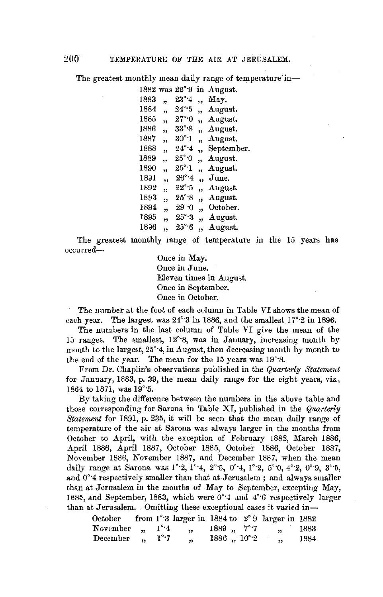The greatest monthly mean daily range of temperature in-

|      |                         | $1882$ was $22^{\circ}9$   | in.                     | August.        |
|------|-------------------------|----------------------------|-------------------------|----------------|
| 1883 | ,,                      | $23^{\circ}$ 4             | ٠,                      | May.           |
| 1884 | 15                      | $24^\circ$ 5               | ٠,                      | August.        |
| 1885 | $\overline{1}$          | $27^\circ$ $0$             | ٠,                      | August.        |
| 1886 | $\overline{\mathbf{z}}$ | 33° 8                      | ٠,                      | August.        |
| 1887 | ,,                      | $30^\circ \cdot 1$         | $\ddot{\phantom{1}}$    | August.        |
| 1888 | $\overline{\mathbf{z}}$ | $24^\circ 4$               | 19                      | September.     |
| 1889 | ,,                      | $25^{\circ}$ O             | ٠,                      | August.        |
| 1890 | ,,                      | $25^\circ\!\! \cdot\!\! 1$ | ,,                      | August.        |
| 1891 | ,,                      | $26^\circ$ 4               | ,,                      | $_{\rm June.}$ |
| 1892 | ,,                      | $22^{\circ}$ 5             | ,,                      | August.        |
| 1893 | ,,                      | $25^{\circ}\,8$            | 33                      | August.        |
| 1894 | "                       | 29° O                      | ,,                      | October.       |
| 1895 | 93                      | $25^\circ$ .3              | $\overline{\mathbf{v}}$ | August.        |
| 1896 | ,,                      | $25^\circ$ 6               | ,,                      | $A$ ugust.     |
|      |                         |                            |                         |                |

<sup>1896</sup>" 25°·6 ,, August. The greatest monthly range of temperature in the 15 years has occurred-

Once in May. Once in June. Eleven times in August. Once in September. Once in October.

The nnmber at the foot of each column in Table *VI* shows the mean of each year. The largest was  $24^{\circ}3$  in 1886, and the smallest  $17^{\circ}2$  in 1896.

The numbers in the last column of Table VI give the mean of the 15 ranges. The smallest,  $12^{\circ}$ 8, was in January, increasing month by month to the largest, 25°·4, in August, then decreasing month by month to the end of the year. The mean for the 15 years was  $19^{\circ}$ 8.

From Dr. Chaplin's observations published in the *Quarterly Statement*  for January, 1883, p. 39, the mean daily range for the eight years, viz., 1864 to 1871, was 19°·5.

By taking the difference between the numbers in the above table and those corresponding for Sarona in Table XI, published in the *Quarterly ,Statement* for 1891, p. 235, it will be seen that the mean daily range of temperature of the air at Sarona was always larger in the months from October to April, with the exception of February 1882, March 1886, April 1886, April 1887, October 1885, October 1886, October 1887, November 1886, November 1887, and December 1887, when the mean daily range at Sarona was  $1^{\circ}2, 1^{\circ}4, 2^{\circ}5, 0^{\circ}4, 1^{\circ}2, 5^{\circ}0, 4^{\circ}2, 0^{\circ}9, 3^{\circ}5,$ and 0°·4 respectively smaller than that at Jerusalem; and always smaller than at Jerusalem in the months of May to September, excepting May, 1885, and September, 1883, which were 0°·4 and 4°·6 respectively larger than at Jerusalem. Omitting these exceptional cases it varied in-

| $0$ ctober                     |                          |             |           |                        | from $1^{\circ}3$ larger in 1884 to $2^{\circ}9$ larger in 1882 |      |
|--------------------------------|--------------------------|-------------|-----------|------------------------|-----------------------------------------------------------------|------|
| November $\ldots$ $1^{\circ}4$ |                          |             | $\bullet$ | $1889$ , $7^{\circ}7$  | $\cdots$                                                        | 1883 |
| December                       | <b>Contract Contract</b> | $1^\circ 7$ |           | $1886$ , $10^{\circ}2$ |                                                                 | 1884 |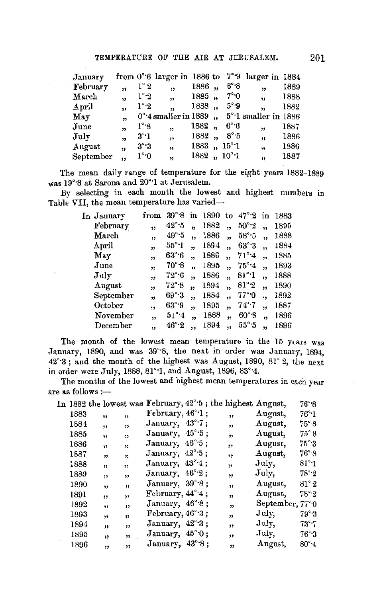| January     |                |                   |                                |       |                     | from $0^{\circ}6$ larger in 1886 to $7^{\circ}9$ larger in 1884 |      |
|-------------|----------------|-------------------|--------------------------------|-------|---------------------|-----------------------------------------------------------------|------|
| February    | ,,             | $1^\circ\,2$      | ,                              | 1886, | 6°8                 | ,,                                                              | 1889 |
| March       | ,,             | $1^\circ \cdot 2$ | $\overline{1}$                 | 1885, | $7^\circ \cdot 0$   | $\overline{\mathbf{v}}$                                         | 1888 |
| April       | ,,             | $1^\circ \cdot 2$ | $\overline{\mathbf{z}}$        | 1888, | $5^\circ 9$         | $\overline{\mathbf{v}}$                                         | 1882 |
| May         | $\overline{1}$ |                   | $0^{\circ}$ 4 smaller in 1889, |       |                     | 5°·1 smaller in 1886                                            |      |
| June        | ,,             | $1^\circ$ 8       | , 1                            | 1882, | 6°6                 | ,                                                               | 1887 |
| $\rm\,July$ | 13             | $3^\circ \cdot 1$ | ,                              | 1882, | $8^\circ 5$         | ,,                                                              | 1886 |
| August      | ,              | $3^\circ \cdot 3$ | ,                              |       | $1883, 15^{\circ}1$ | ,,                                                              | 1886 |
| September   | ,,             | $1^\circ \cdot 0$ | $\overline{\mathbf{z}}$        |       | $1882, 10^{\circ}1$ | ,,                                                              | 1887 |
|             |                |                   |                                |       |                     |                                                                 |      |

The mean daily range of temperature for the eight years 1882–1889 was 19°·8 at Sarona and 20°·1 at Jerusalem.

By selecting in each month the lowest and highest numbers in Table VII, the mean temperature has varied-

|                | from                    | $39^\circ.8$               | in             | 1890 | to                      |                      |    | 1883            |
|----------------|-------------------------|----------------------------|----------------|------|-------------------------|----------------------|----|-----------------|
| February       | $\overline{\mathbf{z}}$ | $42^\circ.5$               |                | 1882 | , 1                     | $50^{\circ}$ $2$     | ,, | 1895            |
| March          | ,                       | $49^\circ.5$               | ,,             | 1886 | ,,                      | $58^\circ 5$         |    | 1888            |
| $_{\rm April}$ | ,,                      | $55^{\circ}$ <sup>-1</sup> | 'n             | 1894 | ,,                      | $63^\circ \cdot 3$   | 12 | 1884            |
| May            | ,,                      | $63^\circ$ 6               | ۰,             | 1886 | $\overline{\mathbf{3}}$ | $71^\circ 4$         | 11 | 1885            |
| June           | ,,                      | $70^\circ.8$               | ,,             | 1895 | ,,                      | $75^\circ 4$         | ,, | 1893            |
| $_{\rm July}$  | ,                       | $72^\circ 6$               | ,,             | 1886 | $\overline{\mathbf{z}}$ | $81^\circ\!\!:\!\!1$ | ,, | 1888            |
| August         | ,,                      | $72^{\circ}\,8$            | $\overline{ }$ | 1894 | , 1                     | $81^\circ 2$         | ,, | 1890            |
| September      |                         | 69°3                       | ,,             | 1884 | ,,                      | 77° O                | ,, | 1892            |
| October        | ٠,                      | $63^\circ.9$               | ,,             | 1895 | ,,                      | $74^\circ$ 7         | ,, | 1887            |
| November       | ٠,                      | $51^\circ 4$               | $\mathbf{v}$   | 1888 | ,,                      | $60^\circ.8$         | ,, | 1896            |
| December       | ,,                      | $46^\circ \cdot 2$         |                | 1894 | ٠,                      | $55^\circ$ 5         |    | 1896            |
|                | In January              |                            |                |      |                         |                      |    | $47^\circ.2$ in |

December  $\mu$ ,  $46^{\circ}2$ , 1894,  $55^{\circ}5$ , 1896<br>The month of the lowest mean temperature in the 15 years was January, 1890, and was 39°·8, the next in order was January, 1894, 42°·3 ; and the month of the highest was August, 1890, 81 ° 2, the next in order were July, 1888, 81°·1, and August, 1896, 83°·4.

The months of the lowest and highest mean temperatures in each year are as follows :-

|      |                         |                         | In 1882 the lowest was February, 42° <sup>5</sup> ; the highest August, |  |                         |                          | $76^{\circ}$ 8     |
|------|-------------------------|-------------------------|-------------------------------------------------------------------------|--|-------------------------|--------------------------|--------------------|
| 1883 | ,,                      | ,,                      | February, $46^{\circ}$ 1;                                               |  | ,,                      | August,                  | $76^\circ 1$       |
| 1884 | , 1                     | , 1                     | January, 43°7;                                                          |  | ,,                      | August,                  | $75^{\circ}$ .8    |
| 1885 | $\mathbf{v}$            | ,                       | January, 45°5;                                                          |  | $\mathbf{v}$            | August,                  | $75^{\circ}.8$     |
| 1886 | ,                       | 11                      | January, 46°5;                                                          |  | $\overline{\mathbf{v}}$ | August,                  | $75^\circ$ :3      |
| 1887 | 12                      | 12                      | January, 42°5;                                                          |  | ,,                      | August,                  | $76^\circ.8$       |
| 1888 | $\overline{\mathbf{y}}$ | $\overline{\mathbf{1}}$ | January, 43°4;                                                          |  | "                       | July.                    | $81^\circ \cdot 1$ |
| 1889 | 11                      | ,,                      | January, 46°2;                                                          |  | , 7                     | July,                    | $78^\circ 2$       |
| 1890 | ,,                      | ,,                      | January, 39°8;                                                          |  | "                       | August,                  | $81^\circ 2$       |
| 1891 | ,,                      | ,,                      | February, $44^{\circ}4$ ;                                               |  | ,,                      | August,                  | $78^\circ 2$       |
| 1892 | $\overline{\mathbf{v}}$ | $\mathbf{r}$            | January, 46°8;                                                          |  | ,                       | September, $77^{\circ}0$ |                    |
| 1893 | , ,                     | "                       | February, $46^\circ 3$ ;                                                |  | ,,                      | July,                    | $79^{\circ}3$      |
| 1894 | ,,                      | ,,                      | January, 42°3;                                                          |  | ,,                      | July,                    | $73^\circ$         |
| 1895 | "                       | ,,                      | January, 45°O;                                                          |  | ,                       | $\rm{July.}$             | $76^\circ 3$       |
| 1896 |                         | ,,                      | January, 43°8;                                                          |  | $^{\prime}$             | August,                  | 80°4               |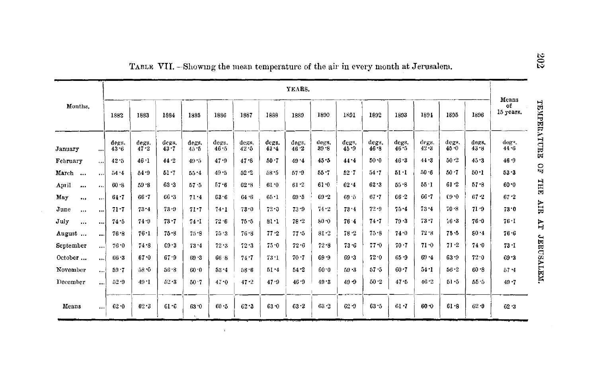|                   | YEARS.               |                   |               |                   |               |               |                   |               |               |                   |               |               | Means         |                   |                   |               |                            |
|-------------------|----------------------|-------------------|---------------|-------------------|---------------|---------------|-------------------|---------------|---------------|-------------------|---------------|---------------|---------------|-------------------|-------------------|---------------|----------------------------|
| Months.           |                      | 1882              | 1883          | 1884              | 1885          | 1886          | 1887              | 1888          | 1889          | 1890              | 1891          | 1892          | 1893          | 1894              | 1895              | 1896          | of<br>15 усатк.            |
| January           | $\cdots$             | degs.<br>$43 - 6$ | degs.<br>47.2 | degs.<br>$43 - 7$ | degs.<br>45.5 | degs.<br>46.5 | degs.<br>$42 - 5$ | degs.<br>43.4 | degs.<br>46.2 | degs.<br>$39 - 8$ | degs.<br>45.9 | degs.<br>46.8 | degs.<br>46.5 | degs.<br>$42 - 3$ | degs.<br>$45 - 0$ | degs.<br>43.8 | deg <sup>3</sup> .<br>44.6 |
| February          | $\cdots$             | 42.5              | $46 - 1$      | 44.2              | 49.5          | 47.9          | 47.8              | $50 - 7$      | 49.4          | 45.5              | 44.4          | $50 - 0$      | $46 - 3$      | 44.3              | 50.2              | 45.3          | 46.9                       |
| March<br>$\cdots$ |                      | 54.4              | 54.9          | $51 - 7$          | $55 - 4$      | $49 - 5$      | $52 - 2$          | $58 - 5$      | $57 - 9$      | $55 - 7$          | 52.7          | 54.7          | 51.1          | 50.6              | 50.7              | 50.1          | 53.3                       |
| April<br>         | $\cdots$             | 60.8              | 59.8          | 63.3              | $57 - 5$      | $57 - 6$      | $62 - 8$          | 61.0          | $61 - 2$      | $61 - 0$          | $62 - 4$      | 62.3          | $55 - 8$      | $55 - 1$          | 61.2              | $57 - 8$      | 60.0                       |
| May<br>$\cdots$   | $\ddotsc$            | 64.7              | 66.7          | 66.3              | 71.4          | 63.6          | 64.6              | $65 - 1$      | $69 - 5$      | $69 - 2$          | 69.5          | $67 - 7$      | $66 - 2$      | $66 - 7$          | 0.61              | $67 - 2$      | $67 - 2$                   |
| June<br>$\cdots$  |                      | $71 - 7$          | $73 - 4$      | $73 - 9$          | $71 - 7$      | 74.1          | 73.0              | 72.0          | 73.9          | 74.2              | 73.4          | 72.9          | $75 - 4$      | $73 - 4$          | $70 - 8$          | 71.9          | 73.0                       |
| July<br>$\cdots$  |                      | 74.5              | 74.9          | $73 - 7$          | 74 · I        | 72.6          | $75 - 5$          | $81 - 1$      | 78.2          | 80.0              | 76.4          | $74 - 7$      | 79.3          | $73 - 7$          | $16 - 3$          | 76.0          | 76.1                       |
| August            | $\ddot{\phantom{a}}$ | 76.8              | 76.1          | $75 - 8$          | 75.9          | 75.3          | 76.8              | $77 - 2$      | 77.5          | 81.2              | 78.2          | $75 - 8$      | 74.0          | 72.8              | $75 - 5$          | $80 - 4$      | 76.6                       |
| September         | $\cdots$             | $76 - 0$          | 74.8          | $69 - 3$          | 73.4          | 72.3          | 72.3              | 75.0          | 72.6          | $72 - 8$          | $73 - 6$      | $77 - 0$      | $70 - 7$      | $71 - 0$          | $71 - 2$          | 74.0          | 73 · I                     |
| October           | $\cdots$             | $66 - 3$          | $67 - 0$      | 67.9              | $69 - 3$      | 66.8          | 74.7              | 73 1          | 70.7          | $69 - 9$          | 69.3          | 72.0          | $65 - 9$      | 69.4              | $63 - 9$          | 72.0          | $69 - 3$                   |
| November          | $\cdots$             | $59 - 7$          | 58.0          | $56 - 8$          | 60.0          | $53 - 4$      | $58 - 6$          | $51 - 4$      | $54 - 2$      | 60.0              | $59 - 3$      | 57.5          | $60 - 7$      | $54 - 1$          | $56 - 2$          | $60 - 8$      | 57.4                       |
| December          | $\cdots$             | $52 - 9$          | $49 - 1$      | $52 - 3$          | 50.7          | 47.0          | 47.2              | 47.9          | 46.9          | 49.3              | $49 - 9$      | $50 - 2$      | 47.5          | 46.2              | $51 - 5$          | $55 - 5$      | 49.7                       |
| Means             | $\cdots$             | $62 - 0$          | 62.3          | $61 - 6$          | 63.0          | 60.5          | 62.3              | $63 - 0$      | 63.2          | $62 - 2$          | $62 - 9$      | $63 - 5$      | $61 - 7$      | $60 - 0$          | 61.8              | $62 - 0$      | 62.3                       |

 $\lambda$ 

TABLE VII. -Showing the mean temperature of the air in every month at Jerusalem.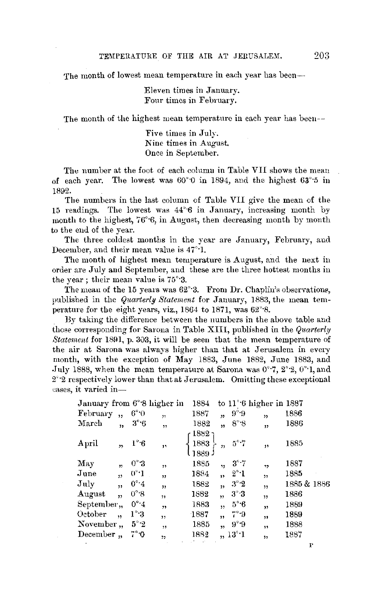The month of lowest mean temperature in each year has been---

Eleven times in January. Four times in February.

The month of the highest mean temperature in each year has been--

Five times in July. Nine times in August. Once in September.

The number at the foot of each columu in Table VII shows the mean of each year. The lowest was  $60^{\circ}$  0 in 1894, and the highest  $63^{\circ}$  5 in 1892.

The numbers in the last column of Table VII give the mean of the 15 readings. The lowest was 44°·6 in January, increasing month by month to the highest, 76°·6, in August, then decreasing month by month to the end of the year.

The three coldest months in the year are January, February, and December, and their mean value is 47°·1.

The month of highest mean temperature is August, and the next in order are July and September, and these are the three hottest months in the year; their mean value is 76°·3.

The mean of the 15 years was  $62^{\circ}$ 3. From Dr. Chaplin's observations, published in the *Quarterly Statement* for January, 1883, the mean temperature for the eight years, viz., 1864 to 1871, was 62°·8.

By taking the difference between the numbers in the above table and those corresponding for Sarona in Table **XIII,** published in the *Quarterly Statement* for 1891, p. 303, it will be seen that the mean temperature of the air at Sarnna was always higher than that at Jerusalem **in** every month, with the exception of May 1883, June 1882, June 1883, and .July 1888, when the mean temperature at Sarona was 0°·7, 2°·2, 0°·1, and 2°·2 respectively lower than that at Jerusalem. Omitting these exceptional cases, it varied in-

| January from 6°8 higher in  |                         |                |    | 1884                   |                         |                 | to $11^{\circ}$ 6 higher in 1887 |             |
|-----------------------------|-------------------------|----------------|----|------------------------|-------------------------|-----------------|----------------------------------|-------------|
| February                    | $\ddot{\mathbf{r}}$     | $6^{\circ}$ 0  | 11 | 1887                   | $\overline{1}$          | $9^{\circ}$ 9   | 13                               | 1886        |
| March                       | ,,                      | $3^\circ 6$    | 55 | 1882                   | ,,                      | $8^\circ 8$     | 39                               | 1886        |
| April                       | ,                       | $1^\circ$ 6    | ,, | ר 1882<br>1883<br>1889 | "                       | $5^\circ$ .7    | m                                | 1885        |
| May                         | $\overline{\mathbf{v}}$ | $0^{\circ}.3$  | ,, | 1885                   | 11                      | $3^{\circ}.7$   | ,,                               | 1887        |
| June                        | $\overline{\mathbf{1}}$ | $0^{\circ}$ .1 | ,, | 1884                   | 99                      | $2^{\circ}$ -1  | ,                                | 1885        |
| $\overline{\mathrm{J}}$ uly | ,,                      | $0^{\circ}$ 4  | ,, | 1882                   | ,                       | $3^\circ 2$     | ,,                               | 1885 & 1886 |
| August                      | $\ddot{\mathbf{r}}$     | $0^{\circ}$ .8 | ٠, | 1882                   | $\overline{\mathbf{v}}$ | $3^\circ 3$     | 12                               | 1886        |
| September,,                 |                         | $0^\circ 4$    | 77 | 1883                   | 12                      | $5^\circ 6$     | ,,                               | 1889        |
| October                     | ,,                      | $1^\circ 3$    |    | 1887                   | 99                      | $7^{\circ}$ -9  | ,,                               | 1889        |
| November,                   |                         | $5^\circ 2$    | 59 | 1885                   | ,                       | 9°9             | ,,                               | 1888        |
| December,                   |                         | 7°0            | ,, | 1882                   |                         | $, 13^{\circ}1$ | ,                                | 1887        |
|                             |                         |                |    |                        |                         |                 |                                  |             |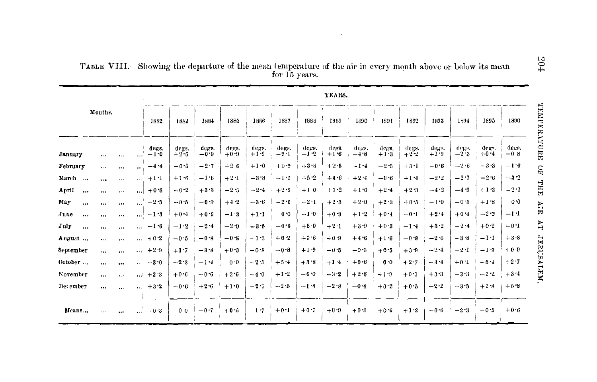|                  |           |          |           | YEARS.                                                                                               |                 |                 |                 |                 |                     |                 |                 |                   |                 |                 |                 |                 |                 |                 |
|------------------|-----------|----------|-----------|------------------------------------------------------------------------------------------------------|-----------------|-----------------|-----------------|-----------------|---------------------|-----------------|-----------------|-------------------|-----------------|-----------------|-----------------|-----------------|-----------------|-----------------|
|                  | Months.   |          |           | 1882<br>1885<br>1886<br>1887<br>1888<br>1889<br>1890<br>1892<br>1894<br>1883<br>1884<br>1891<br>1893 |                 |                 |                 |                 |                     |                 |                 |                   | 1895            | 1896            |                 |                 |                 |                 |
| January          | $\cdots$  | $\cdots$ |           | degg.<br>$-1.0$                                                                                      | degs.<br>$+2.6$ | degs.<br>$-0.9$ | degs.<br>$+0.0$ | degs.<br>$+1.9$ | degs.<br>$-21$      | decs.<br>$-1.2$ | degs.<br>$+1.6$ | degs. i<br>$-4.8$ | degs.<br>$+1.3$ | degs.<br>$+2.2$ | degs.<br>$+1.9$ | degs.<br>$-2.3$ | degs.<br>$+0.4$ | deer.<br>$-0.8$ |
| February         |           | $\cdots$ |           | $-4.4$                                                                                               | $-0.5$          | $-2.7$          | $+26$           | $+1.0$          | $+0.9$              | $+3.8$          | $+2.5$          | $-1.4$            | $-2.5$          | $+3 - 1$        | $-0.6$          | $-2.6$          | $+3.3$          | $-1.6$          |
| March            | $\cdots$  | $\cdots$ | $\cdots$  | $+1.1$                                                                                               | $+1.6$          | $-1.6$          | $+2.1$          | $-3.8$          | $-1$ <sup>.</sup> 1 | $+5.2$          | $+4.6$          | $+2.4$            | $-0.6$          | $+1.4$          | $-2.2$          | $-2.7$          | $-2.6$          | $-3.2$          |
| April<br>        |           | $\cdots$ | اءء       | $+0.8$                                                                                               | $-0.2$          | $+3.3$          | $-2.5$          | $-2.4$          | $+2.3$              | $+10$           | $+1.2$          | $+1.0$            | $+2.4$          | $+2.3$          | $-4.3$          | $-4.9$          | $+1.2$          | $-2.2$          |
| May<br>$\cdots$  | $\cdots$  | $\cdots$ | $\ddotsc$ | $-2.5$                                                                                               | $-0.5$          | $-0.9$          | $+4.2$          | $-3.6$          | $-2.6$              | $-2.1$          | $+2.3$          | $+2.0$            | $+2.3$          | $+0.5$          | $-1.0$          | $-0.5$          | $+1.8$          | $0 - 0$         |
| June<br>$\cdots$ |           | 1.14     | $\ldots$  | $-1.3$                                                                                               | $+0.4$          | $+0.0$          | $-1.3$          | $+1.1$          | 0.0                 | $-1.0$          | $+0.9$          | $+1.2$            | $+0.4$          | $-0.1$          | $+2.4$          | $+0.4$          | $-2.2$          | $-1:1$          |
| July<br>$\cdots$ |           | $\cdots$ | $\cdots$  | $-1.6$                                                                                               | $-1.2$          | $-2.4$          | $-2.0$          | $-3.5$          | $-0.6$              | $+5.0$          | $+2.1$          | $+3.9$            | $+0.3$          | $-1.4$          | $+3.2$          | $-2.4$          | $+0.2$          | $-0.1$          |
| August           | $\ddotsc$ | $\cdots$ |           | $+0.2$                                                                                               | $-0.5$          | $-0.8$          | $-0.8$          | $-1.3$          | $+0.2$              | $+0.6$          | $+0.9$          | $+4.6$            | $+1.6$          | $-0.8$          | $-2.6$          | $-3.8$          | $-1.1$          | $+3.8$          |
| September        |           | $\cdots$ | $\ddotsc$ | $+2.9$                                                                                               | $+1.7$          | $-3.8$          | $+0.3$          | $-0.8$          | $-0.8$              | $+1.9$          | $-0.5$          | $-0.3$            | $+0.5$          | $+3.9$          | $-2.4$          | $-2.1$          | $-1.9$          | $+0.9$          |
| October          |           |          | $\cdots$  | $-3.0$                                                                                               | $-2.3$          | $-1.4$          | 0.0             | $-2.5$          | $+5.4$              | $+3.8$          | $+1.4$          | $+0.6$            | 0.0             | $+2.7$          | $-3.4$          | $+0.1$          | $-5.4$          | $+2.7$          |
| November         | $\cdots$  | $\cdots$ | ،         | $+2.3$                                                                                               | $+0.6$          | $-0.6$          | $+2.6$          | $-4.0$          | $+1.2$              | $-6.0$          | $-3.2$          | $+2.6$            | $+1.0$          | $+0.1$          | $+3.3$          | $-3.3$          | $-1.2$          | $+3.4$          |
| December.        | $\cdots$  |          | $\cdots$  | $+3.2$                                                                                               | $-0.6$          | $+2.6$          | $+1.0$          | $-2.7$          | $-2.5$              | $-1.8$          | $-2.8$          | $-0.4$            | $+0.2$          | $+0.5$          | $-2.2$          | $-3.5$          | $+1.8$          | $+5.8$          |
| Means            | $\cdots$  | 0.09     | المعه     | $-0.3$                                                                                               | 0 <sub>0</sub>  | $-0.7$          | $+0.6$          |                 | $-1.7 + 0.1$        | $+0.7$          | $+0.9$          | $+0.0$            | $+0.6$          | $+1.2$          | $-0.6$          | $-2.3$          | $-0.5$          | $+0.6$          |

TABLE VIII.—Showing the departure of the mean temperature of the air in every month above or below its mean for 15 years.

 $\sim$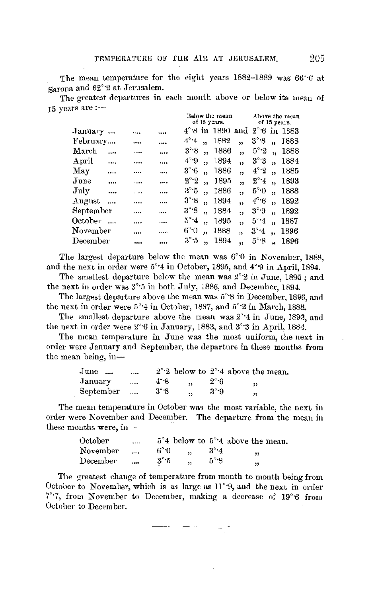The mean temperature for the eight years  $1882-1889$  was  $66°6$  at Sarona and 62°·2 at Jerusalem.

The greatest departures in each month above or below its mean of 15 years are:--

|           |      |          |                   | Below the mean |                                                |     |               |                      | Above the mean |  |  |  |
|-----------|------|----------|-------------------|----------------|------------------------------------------------|-----|---------------|----------------------|----------------|--|--|--|
|           |      |          |                   |                | of 15 years.                                   |     |               |                      | of 15 years.   |  |  |  |
| January   |      |          |                   |                | $4^{\circ}$ 8 in 1890 and $2^{\circ}6$ in 1883 |     |               |                      |                |  |  |  |
| February  |      |          | $4^\circ 4$       |                | 1882                                           | ,   | 3°8           | ٠,                   | 1888           |  |  |  |
| March     |      |          | 3°8               | ٠,             | 1886                                           | ,,  | $5^\circ 2$   |                      | 1888           |  |  |  |
| April     | <br> |          | $4^\circ 9$       |                | 1894                                           | ,,  | $3^\circ\,3$  |                      | 1884           |  |  |  |
| May       | <br> |          | $3^\circ 6$       | ,              | 1886                                           | ,   | $4^\circ 2$   |                      | 1885           |  |  |  |
| June      | <br> |          | $2^{\circ}$ $2$   |                | 1895                                           | ,   | $2^{\circ}$ 4 |                      | 1893           |  |  |  |
| July      | <br> | $\cdots$ | $3^{\circ}5$      | ٠.             | 1886                                           | ,,  | $5^{\circ}$ 0 |                      | 1888           |  |  |  |
| August    |      |          | $3^\circ \cdot 8$ | ٠,             | 1894                                           | ,   | $4^\circ 6$   |                      | 1892           |  |  |  |
| September |      |          | 3°8               | ٠,             | 1884                                           | , 1 | 3°9           |                      | 1892           |  |  |  |
| October   |      |          | $5^\circ 4$       | ,              | 1895                                           | ,   | $5^\circ 4$   | ٠,                   | 1887           |  |  |  |
| November  |      |          | 6°0               | ٠,             | 1888                                           | ,,  | $3^\circ 4$   | $\ddot{\phantom{1}}$ | 1896           |  |  |  |
| December  |      |          | $3^\circ\,5$      |                | 1894                                           | ,   | $5^{\circ}$ 8 |                      | 1896           |  |  |  |
|           |      |          |                   |                |                                                |     |               |                      |                |  |  |  |

The largest departure below the mean was  $6°0$  in November, 1888, and the next in order were 5°·4 in October, 1895, and 4°·9 in April, 1894.

The smallest departure below the mean was  $2^{\circ}2$  in June, 1895; and the next in order was 3°·5 in both July, 1886, and December, 1894.

The largest departure above the mean was 5°·8 in December, 1896, and the next in order were 5°·4 in October, 1887, and 5°·2 in March, 1888.

The smallest departure above the mean was 2°·4 in June, 1893, and the next in order were 2°6 in January, 1883, and 3°3 in April, 1884.

The mean temperature in June was the most uniform, the next **in**  order were January arnl September, the departure **in** these months **from**  the mean being, in-

| $_{\text{June}}$ | $\cdots$ |              |                          |             | $2^{\circ}$ below to $2^{\circ}$ 4 above the mean. |
|------------------|----------|--------------|--------------------------|-------------|----------------------------------------------------|
| January          | $\cdots$ | $4^\circ$ -8 | $\overline{\phantom{a}}$ | $2^\circ$ 6 | "                                                  |
| September        |          | $3^\circ 8$  | ,                        | 3°9         | ,,                                                 |
|                  |          |              |                          |             |                                                    |

The mean temperature in October was the most variable, the next in order were November and December. The departure from the mean in these months were, in-

| October  | $\cdots$ |              |                      |             | $5^{\circ}4$ below to $5^{\circ}4$ above the mean. |
|----------|----------|--------------|----------------------|-------------|----------------------------------------------------|
| November | $\cdots$ | $6^{\circ}0$ | $\ddot{\phantom{0}}$ | $3^\circ 4$ | ,,                                                 |
| December |          | 3°5          | , 1                  | $5^\circ 8$ | "                                                  |

The greatest change of temperature from month to month being from October to November, which is as large as  $11^{\circ}$ 9, and the next in order 7°·7, from November to December, making a decrease of 19°·6 from October to December.